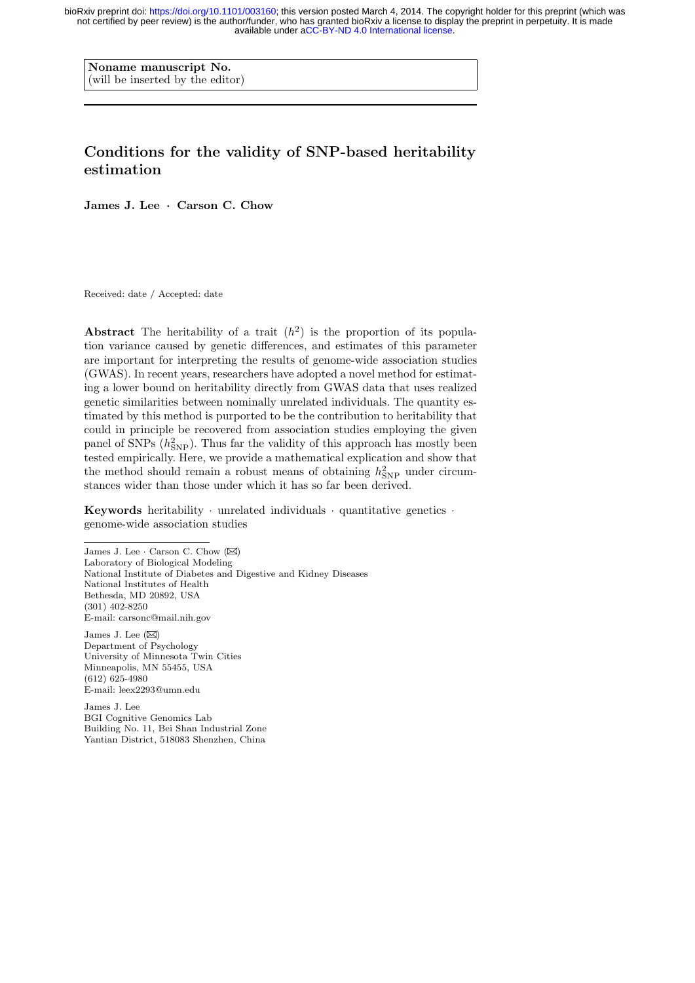Noname manuscript No. (will be inserted by the editor)

# Conditions for the validity of SNP-based heritability estimation

James J. Lee · Carson C. Chow

Received: date / Accepted: date

Abstract The heritability of a trait  $(h^2)$  is the proportion of its population variance caused by genetic differences, and estimates of this parameter are important for interpreting the results of genome-wide association studies (GWAS). In recent years, researchers have adopted a novel method for estimating a lower bound on heritability directly from GWAS data that uses realized genetic similarities between nominally unrelated individuals. The quantity estimated by this method is purported to be the contribution to heritability that could in principle be recovered from association studies employing the given panel of SNPs  $(h<sub>SNP</sub><sup>2</sup>)$ . Thus far the validity of this approach has mostly been tested empirically. Here, we provide a mathematical explication and show that the method should remain a robust means of obtaining  $h_{\rm SNP}^2$  under circumstances wider than those under which it has so far been derived.

Keywords heritability  $\cdot$  unrelated individuals  $\cdot$  quantitative genetics  $\cdot$ genome-wide association studies

James J. Lee  $\cdot$  Carson C. Chow ( $\boxtimes$ ) Laboratory of Biological Modeling National Institute of Diabetes and Digestive and Kidney Diseases National Institutes of Health Bethesda, MD 20892, USA (301) 402-8250 E-mail: carsonc@mail.nih.gov James J. Lee  $(\boxtimes)$ Department of Psychology University of Minnesota Twin Cities Minneapolis, MN 55455, USA (612) 625-4980

E-mail: leex2293@umn.edu

James J. Lee BGI Cognitive Genomics Lab Building No. 11, Bei Shan Industrial Zone Yantian District, 518083 Shenzhen, China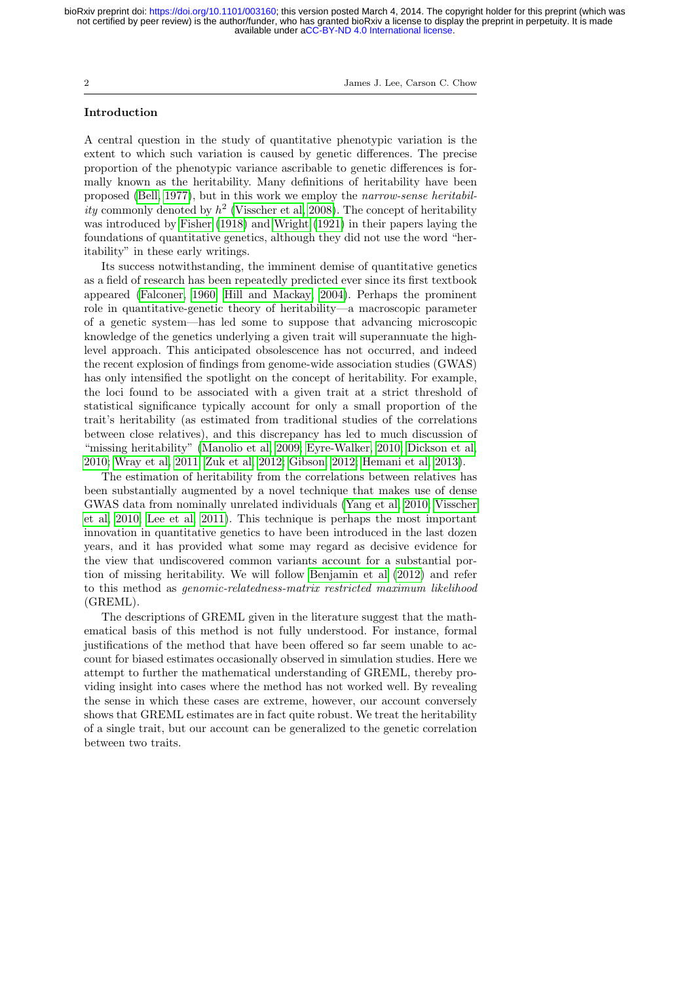2 James J. Lee, Carson C. Chow

## Introduction

A central question in the study of quantitative phenotypic variation is the extent to which such variation is caused by genetic differences. The precise proportion of the phenotypic variance ascribable to genetic differences is formally known as the heritability. Many definitions of heritability have been proposed [\(Bell, 1977\)](#page-19-0), but in this work we employ the narrow-sense heritability commonly denoted by  $h^2$  [\(Visscher et al, 2008\)](#page-22-0). The concept of heritability was introduced by [Fisher](#page-20-0) [\(1918\)](#page-20-0) and [Wright](#page-22-1) [\(1921\)](#page-22-1) in their papers laying the foundations of quantitative genetics, although they did not use the word "heritability" in these early writings.

Its success notwithstanding, the imminent demise of quantitative genetics as a field of research has been repeatedly predicted ever since its first textbook appeared [\(Falconer, 1960;](#page-20-1) [Hill and Mackay, 2004\)](#page-20-2). Perhaps the prominent role in quantitative-genetic theory of heritability—a macroscopic parameter of a genetic system—has led some to suppose that advancing microscopic knowledge of the genetics underlying a given trait will superannuate the highlevel approach. This anticipated obsolescence has not occurred, and indeed the recent explosion of findings from genome-wide association studies (GWAS) has only intensified the spotlight on the concept of heritability. For example, the loci found to be associated with a given trait at a strict threshold of statistical significance typically account for only a small proportion of the trait's heritability (as estimated from traditional studies of the correlations between close relatives), and this discrepancy has led to much discussion of "missing heritability" [\(Manolio et al, 2009;](#page-21-0) [Eyre-Walker, 2010;](#page-20-3) [Dickson et al,](#page-20-4) [2010;](#page-20-4) [Wray et al, 2011;](#page-22-2) [Zuk et al, 2012;](#page-22-3) [Gibson, 2012;](#page-20-5) [Hemani et al, 2013\)](#page-20-6).

The estimation of heritability from the correlations between relatives has been substantially augmented by a novel technique that makes use of dense GWAS data from nominally unrelated individuals [\(Yang et al, 2010;](#page-22-4) [Visscher](#page-22-5) [et al, 2010;](#page-22-5) [Lee et al, 2011\)](#page-21-1). This technique is perhaps the most important innovation in quantitative genetics to have been introduced in the last dozen years, and it has provided what some may regard as decisive evidence for the view that undiscovered common variants account for a substantial portion of missing heritability. We will follow [Benjamin et al](#page-20-7) [\(2012\)](#page-20-7) and refer to this method as genomic-relatedness-matrix restricted maximum likelihood (GREML).

The descriptions of GREML given in the literature suggest that the mathematical basis of this method is not fully understood. For instance, formal justifications of the method that have been offered so far seem unable to account for biased estimates occasionally observed in simulation studies. Here we attempt to further the mathematical understanding of GREML, thereby providing insight into cases where the method has not worked well. By revealing the sense in which these cases are extreme, however, our account conversely shows that GREML estimates are in fact quite robust. We treat the heritability of a single trait, but our account can be generalized to the genetic correlation between two traits.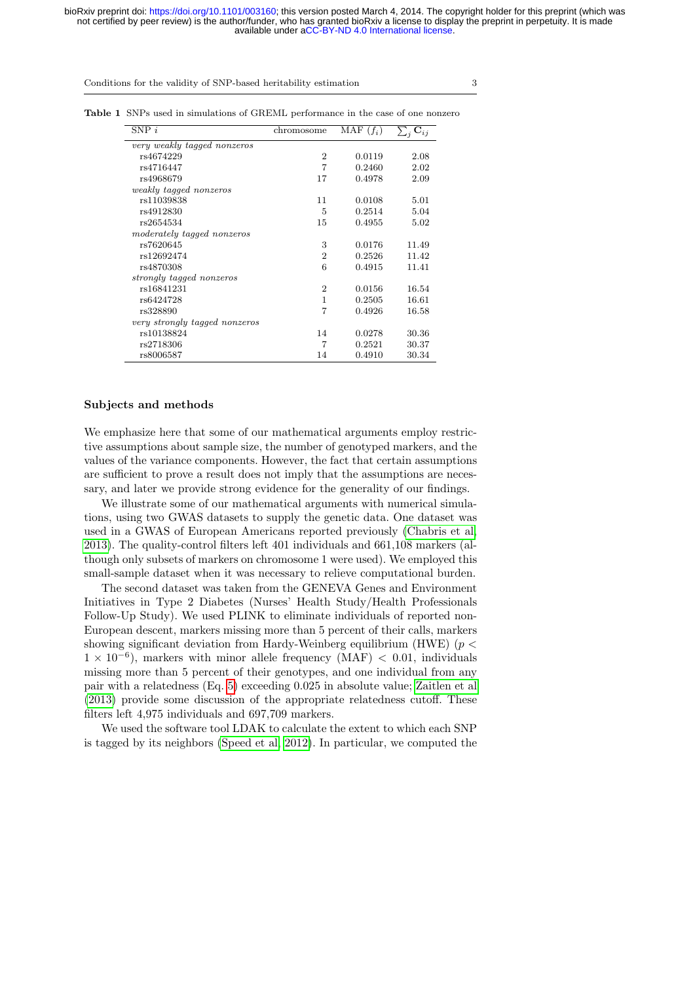| ٦            |
|--------------|
|              |
|              |
| I<br>I<br>۰, |
|              |
|              |

<span id="page-2-0"></span>

| $SNP$ i                       | chromosome                  | MAF $(f_i)$ | $\sum_i \mathbf{C}_{ij}$ |
|-------------------------------|-----------------------------|-------------|--------------------------|
| very weakly tagged nonzeros   |                             |             |                          |
| rs4674229                     | $\overline{2}$              | 0.0119      | 2.08                     |
| rs4716447                     | $\overline{7}$              | 0.2460      | 2.02                     |
| rs4968679                     | 17                          | 0.4978      | 2.09                     |
| weakly tagged nonzeros        |                             |             |                          |
| rs11039838                    | 11                          | 0.0108      | 5.01                     |
| rs4912830                     | 5                           | 0.2514      | 5.04                     |
| rs2654534                     | 15                          | 0.4955      | 5.02                     |
| moderately tagged nonzeros    |                             |             |                          |
| rs7620645                     | 3                           | 0.0176      | 11.49                    |
| rs12692474                    | $\overline{2}$              | 0.2526      | 11.42                    |
| rs4870308                     | 6                           | 0.4915      | 11.41                    |
| strongly tagged nonzeros      |                             |             |                          |
| rs16841231                    | $\mathcal{D}_{\mathcal{L}}$ | 0.0156      | 16.54                    |
| rs6424728                     | 1                           | 0.2505      | 16.61                    |
| rs328890                      | 7                           | 0.4926      | 16.58                    |
| very strongly tagged nonzeros |                             |             |                          |
| rs10138824                    | 14                          | 0.0278      | 30.36                    |
| rs2718306                     | 7                           | 0.2521      | 30.37                    |
| rs8006587                     | 14                          | 0.4910      | 30.34                    |

Table 1 SNPs used in simulations of GREML performance in the case of one nonzero

#### Subjects and methods

We emphasize here that some of our mathematical arguments employ restrictive assumptions about sample size, the number of genotyped markers, and the values of the variance components. However, the fact that certain assumptions are sufficient to prove a result does not imply that the assumptions are necessary, and later we provide strong evidence for the generality of our findings.

We illustrate some of our mathematical arguments with numerical simulations, using two GWAS datasets to supply the genetic data. One dataset was used in a GWAS of European Americans reported previously [\(Chabris et al,](#page-20-8) [2013\)](#page-20-8). The quality-control filters left 401 individuals and 661,108 markers (although only subsets of markers on chromosome 1 were used). We employed this small-sample dataset when it was necessary to relieve computational burden.

The second dataset was taken from the GENEVA Genes and Environment Initiatives in Type 2 Diabetes (Nurses' Health Study/Health Professionals Follow-Up Study). We used PLINK to eliminate individuals of reported non-European descent, markers missing more than 5 percent of their calls, markers showing significant deviation from Hardy-Weinberg equilibrium (HWE) ( $p <$  $1 \times 10^{-6}$ ), markers with minor allele frequency (MAF) < 0.01, individuals missing more than 5 percent of their genotypes, and one individual from any pair with a relatedness (Eq. [5\)](#page-4-0) exceeding 0.025 in absolute value; [Zaitlen et al](#page-22-6) [\(2013\)](#page-22-6) provide some discussion of the appropriate relatedness cutoff. These filters left 4,975 individuals and 697,709 markers.

We used the software tool LDAK to calculate the extent to which each SNP is tagged by its neighbors [\(Speed et al, 2012\)](#page-21-2). In particular, we computed the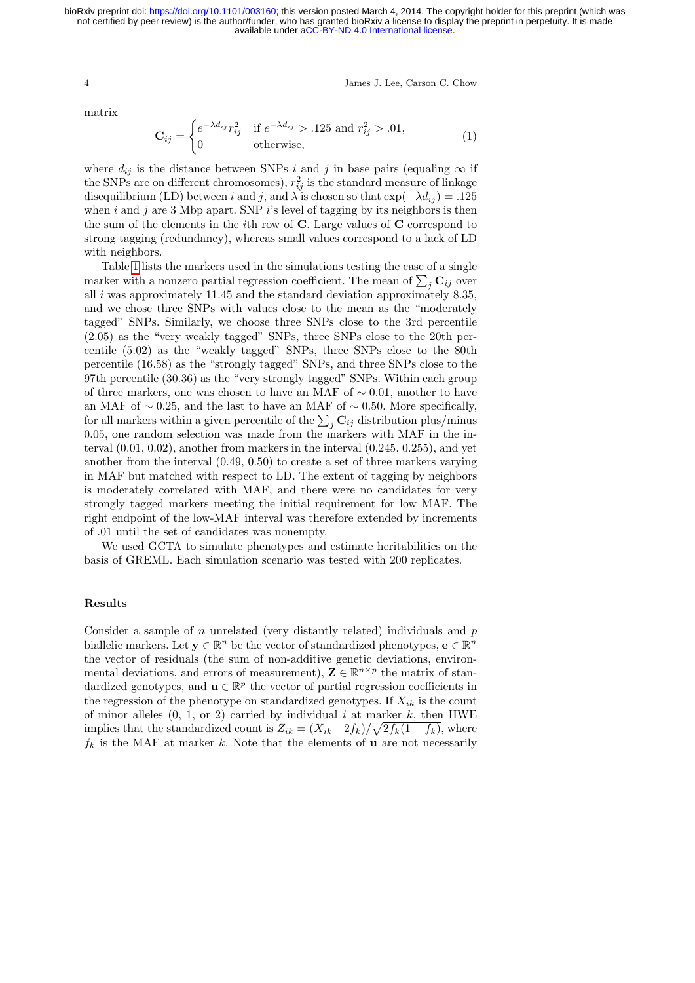4 James J. Lee, Carson C. Chow

matrix

<span id="page-3-0"></span>
$$
\mathbf{C}_{ij} = \begin{cases} e^{-\lambda d_{ij}} r_{ij}^2 & \text{if } e^{-\lambda d_{ij}} > .125 \text{ and } r_{ij}^2 > .01, \\ 0 & \text{otherwise,} \end{cases} \tag{1}
$$

where  $d_{ij}$  is the distance between SNPs i and j in base pairs (equaling  $\infty$  if the SNPs are on different chromosomes),  $r_{ij}^2$  is the standard measure of linkage disequilibrium (LD) between i and j, and  $\lambda$  is chosen so that  $\exp(-\lambda d_{ij}) = .125$ when  $i$  and  $j$  are 3 Mbp apart. SNP  $i$ 's level of tagging by its neighbors is then the sum of the elements in the *i*th row of  $C$ . Large values of  $C$  correspond to strong tagging (redundancy), whereas small values correspond to a lack of LD with neighbors.

Table [1](#page-2-0) lists the markers used in the simulations testing the case of a single marker with a nonzero partial regression coefficient. The mean of  $\sum_j \mathbf{C}_{ij}$  over all  $i$  was approximately 11.45 and the standard deviation approximately 8.35, and we chose three SNPs with values close to the mean as the "moderately tagged" SNPs. Similarly, we choose three SNPs close to the 3rd percentile (2.05) as the "very weakly tagged" SNPs, three SNPs close to the 20th percentile (5.02) as the "weakly tagged" SNPs, three SNPs close to the 80th percentile (16.58) as the "strongly tagged" SNPs, and three SNPs close to the 97th percentile (30.36) as the "very strongly tagged" SNPs. Within each group of three markers, one was chosen to have an MAF of ∼ 0.01, another to have an MAF of  $\sim$  0.25, and the last to have an MAF of  $\sim$  0.50. More specifically, for all markers within a given percentile of the  $\sum_j \mathbf{C}_{ij}$  distribution plus/minus 0.05, one random selection was made from the markers with MAF in the interval (0.01, 0.02), another from markers in the interval (0.245, 0.255), and yet another from the interval (0.49, 0.50) to create a set of three markers varying in MAF but matched with respect to LD. The extent of tagging by neighbors is moderately correlated with MAF, and there were no candidates for very strongly tagged markers meeting the initial requirement for low MAF. The right endpoint of the low-MAF interval was therefore extended by increments of .01 until the set of candidates was nonempty.

We used GCTA to simulate phenotypes and estimate heritabilities on the basis of GREML. Each simulation scenario was tested with 200 replicates.

#### Results

Consider a sample of  $n$  unrelated (very distantly related) individuals and  $p$ biallelic markers. Let  $y \in \mathbb{R}^n$  be the vector of standardized phenotypes,  $e \in \mathbb{R}^n$ the vector of residuals (the sum of non-additive genetic deviations, environmental deviations, and errors of measurement),  $\mathbf{Z} \in \mathbb{R}^{n \times p}$  the matrix of standardized genotypes, and  $\mathbf{u} \in \mathbb{R}^p$  the vector of partial regression coefficients in the regression of the phenotype on standardized genotypes. If  $X_{ik}$  is the count of minor alleles  $(0, 1, \text{or } 2)$  carried by individual i at marker k, then HWE implies that the standardized count is  $Z_{ik} = (X_{ik} - 2f_k)/\sqrt{2f_k(1-f_k)}$ , where  $f_k$  is the MAF at marker k. Note that the elements of **u** are not necessarily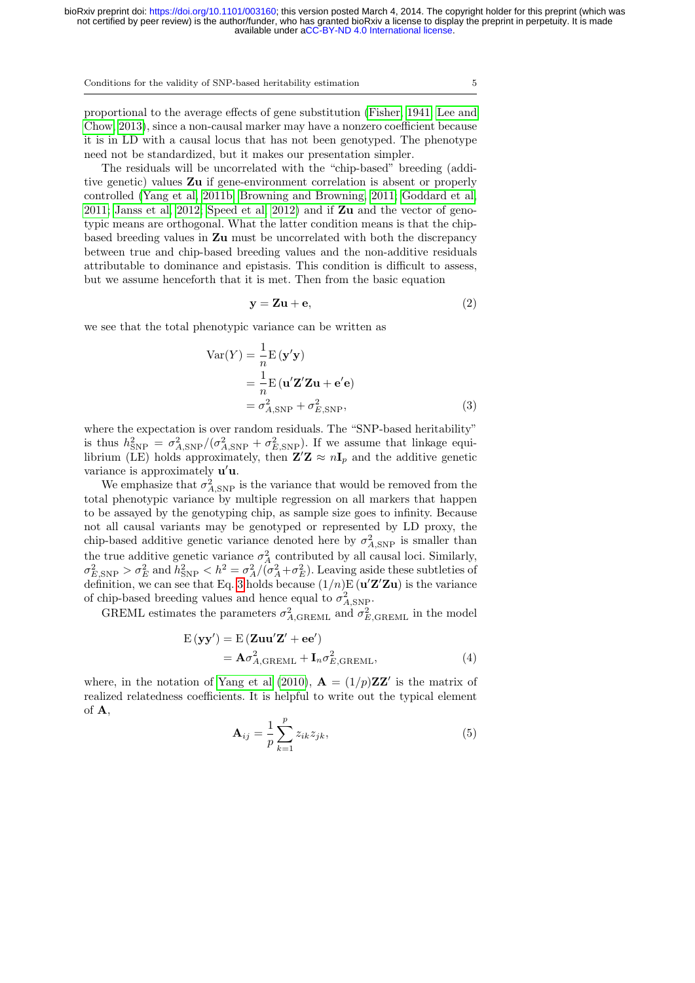proportional to the average effects of gene substitution [\(Fisher, 1941;](#page-20-9) [Lee and](#page-21-3) [Chow, 2013\)](#page-21-3), since a non-causal marker may have a nonzero coefficient because it is in LD with a causal locus that has not been genotyped. The phenotype need not be standardized, but it makes our presentation simpler.

The residuals will be uncorrelated with the "chip-based" breeding (additive genetic) values Zu if gene-environment correlation is absent or properly controlled [\(Yang et al, 2011b;](#page-22-7) [Browning and Browning, 2011;](#page-20-10) [Goddard et al,](#page-20-11) [2011;](#page-20-11) [Janss et al, 2012;](#page-21-4) [Speed et al, 2012\)](#page-21-2) and if  $\mathbb{Z}u$  and the vector of genotypic means are orthogonal. What the latter condition means is that the chipbased breeding values in Zu must be uncorrelated with both the discrepancy between true and chip-based breeding values and the non-additive residuals attributable to dominance and epistasis. This condition is difficult to assess, but we assume henceforth that it is met. Then from the basic equation

<span id="page-4-1"></span>
$$
y = Zu + e,\t\t(2)
$$

we see that the total phenotypic variance can be written as

$$
Var(Y) = \frac{1}{n}E(\mathbf{y}'\mathbf{y})
$$
  
=\frac{1}{n}E(\mathbf{u}'\mathbf{Z}'\mathbf{Z}\mathbf{u} + \mathbf{e}'\mathbf{e})  
=\sigma\_{A, \text{SNP}}^2 + \sigma\_{E, \text{SNP}}^2, (3)

where the expectation is over random residuals. The "SNP-based heritability" is thus  $h_{\text{SNP}}^2 = \sigma_{A,\text{SNP}}^2/(\sigma_{A,\text{SNP}}^2 + \sigma_{E,\text{SNP}}^2)$ . If we assume that linkage equilibrium (LE) holds approximately, then  $\mathbf{Z}'\mathbf{Z} \approx n\mathbf{I}_p$  and the additive genetic variance is approximately  $\mathbf{u}'\mathbf{u}$ .

We emphasize that  $\sigma_{A,\text{SNP}}^2$  is the variance that would be removed from the total phenotypic variance by multiple regression on all markers that happen to be assayed by the genotyping chip, as sample size goes to infinity. Because not all causal variants may be genotyped or represented by LD proxy, the chip-based additive genetic variance denoted here by  $\sigma_{A,\text{SNP}}^2$  is smaller than the true additive genetic variance  $\sigma_A^2$  contributed by all causal loci. Similarly,  $\sigma_{E,SNP}^2 > \sigma_E^2$  and  $h_{SNP}^2 < h^2 = \sigma_A^2/(\sigma_A^2 + \sigma_E^2)$ . Leaving aside these subtleties of definition, we can see that Eq. [3](#page-4-1) holds because  $(1/n)E(\mathbf{u'Z'Zu})$  is the variance of chip-based breeding values and hence equal to  $\sigma_{A,\rm SNP}^2$ .

GREML estimates the parameters  $\sigma_{A, \text{GREML}}^2$  and  $\sigma_{E, \text{GREML}}^2$  in the model

$$
E(\mathbf{y}\mathbf{y}') = E(\mathbf{Zuu'}\mathbf{Z'} + ee')
$$
  
=  $\mathbf{A}\sigma_{A, \text{GREML}}^2 + \mathbf{I}_n \sigma_{E, \text{GREML}}^2,$  (4)

where, in the notation of [Yang et al](#page-22-4) [\(2010\)](#page-22-4),  $\mathbf{A} = (1/p)\mathbf{Z}\mathbf{Z}'$  is the matrix of realized relatedness coefficients. It is helpful to write out the typical element of A,

<span id="page-4-2"></span><span id="page-4-0"></span>
$$
\mathbf{A}_{ij} = \frac{1}{p} \sum_{k=1}^{p} z_{ik} z_{jk},\tag{5}
$$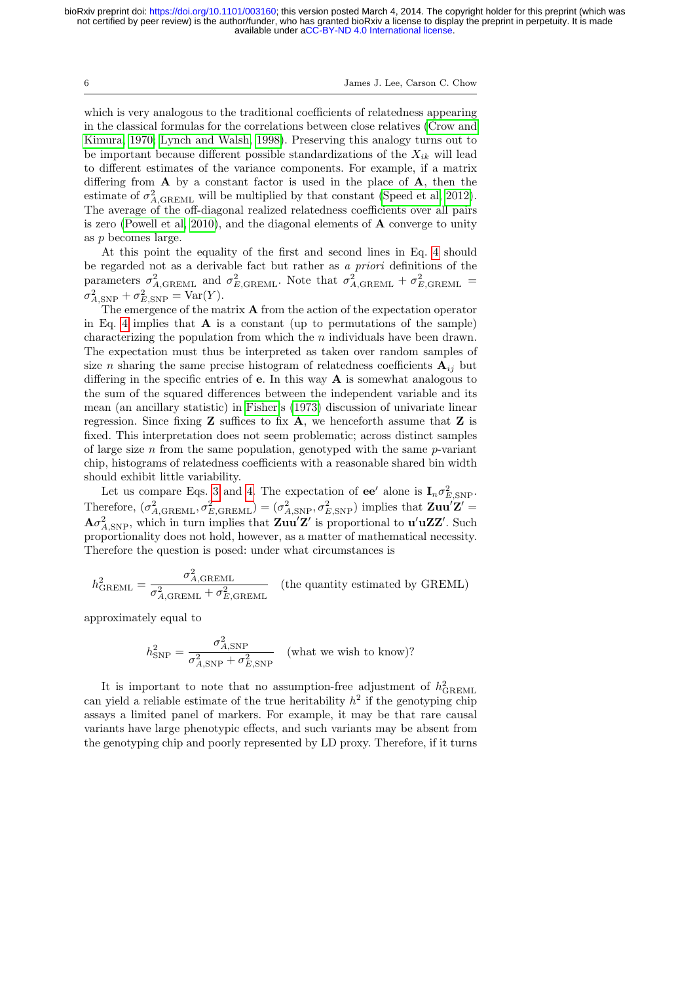6 James J. Lee, Carson C. Chow

which is very analogous to the traditional coefficients of relatedness appearing in the classical formulas for the correlations between close relatives [\(Crow and](#page-20-12) [Kimura, 1970;](#page-20-12) [Lynch and Walsh, 1998\)](#page-21-5). Preserving this analogy turns out to be important because different possible standardizations of the  $X_{ik}$  will lead to different estimates of the variance components. For example, if a matrix differing from  $A$  by a constant factor is used in the place of  $A$ , then the estimate of  $\sigma_{A, \text{GREML}}^2$  will be multiplied by that constant [\(Speed et al, 2012\)](#page-21-2). The average of the off-diagonal realized relatedness coefficients over all pairs is zero [\(Powell et al, 2010\)](#page-21-6), and the diagonal elements of A converge to unity as p becomes large.

At this point the equality of the first and second lines in Eq. [4](#page-4-2) should be regarded not as a derivable fact but rather as a priori definitions of the parameters  $\sigma_{A, \text{GREML}}^2$  and  $\sigma_{E, \text{GREML}}^2$ . Note that  $\sigma_{A, \text{GREML}}^2 + \sigma_{E, \text{GREML}}^2$  $\sigma_{A,\text{SNP}}^2 + \sigma_{E,\text{SNP}}^2 = \text{Var}(Y).$ 

The emergence of the matrix  $A$  from the action of the expectation operator in Eq. [4](#page-4-2) implies that  $\bf{A}$  is a constant (up to permutations of the sample) characterizing the population from which the  $n$  individuals have been drawn. The expectation must thus be interpreted as taken over random samples of size n sharing the same precise histogram of relatedness coefficients  $A_{ij}$  but differing in the specific entries of **e**. In this way  $\bf{A}$  is somewhat analogous to the sum of the squared differences between the independent variable and its mean (an ancillary statistic) in [Fisher'](#page-20-13)s [\(1973\)](#page-20-13) discussion of univariate linear regression. Since fixing  $Z$  suffices to fix  $A$ , we henceforth assume that  $Z$  is fixed. This interpretation does not seem problematic; across distinct samples of large size  $n$  from the same population, genotyped with the same  $p$ -variant chip, histograms of relatedness coefficients with a reasonable shared bin width should exhibit little variability.

Let us compare Eqs. [3](#page-4-1) and [4.](#page-4-2) The expectation of  $ee'$  alone is  $I_n \sigma_{E,SNP}^2$ . Therefore,  $(\sigma_{A, \text{GREML}}^2, \sigma_{E, \text{GREML}}^2) = (\sigma_{A, \text{SNP}}^2, \sigma_{E, \text{SNP}}^2)$  implies that  $\mathbf{Zuu} \mathbf{Z'} =$  $A\sigma_{A,\text{SNP}}^2$ , which in turn implies that  $\mathbf{Zuu'Z'}$  is proportional to  $\mathbf{u'uZZ'}$ . Such proportionality does not hold, however, as a matter of mathematical necessity. Therefore the question is posed: under what circumstances is

$$
h_{\text{GREML}}^2 = \frac{\sigma_{A,\text{GREML}}^2}{\sigma_{A,\text{GREML}}^2 + \sigma_{E,\text{GREML}}^2}
$$
 (the quantity estimated by GREML)

approximately equal to

$$
h_{\text{SNP}}^2 = \frac{\sigma_{A,\text{SNP}}^2}{\sigma_{A,\text{SNP}}^2 + \sigma_{E,\text{SNP}}^2}
$$
 (what we wish to know)?

It is important to note that no assumption-free adjustment of  $h_{\text{GREML}}^2$ can yield a reliable estimate of the true heritability  $h^2$  if the genotyping chip assays a limited panel of markers. For example, it may be that rare causal variants have large phenotypic effects, and such variants may be absent from the genotyping chip and poorly represented by LD proxy. Therefore, if it turns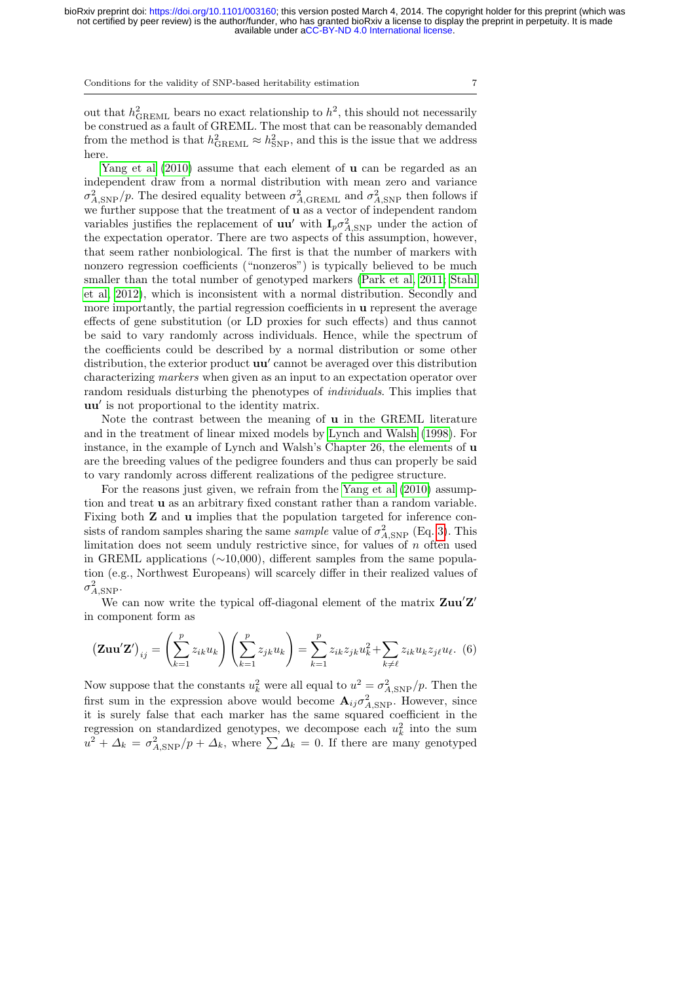out that  $h^2_{\text{GREML}}$  bears no exact relationship to  $h^2$ , this should not necessarily be construed as a fault of GREML. The most that can be reasonably demanded from the method is that  $h_{\text{GREML}}^2 \approx h_{\text{SNP}}^2$ , and this is the issue that we address here.

[Yang et al](#page-22-4)  $(2010)$  assume that each element of **u** can be regarded as an independent draw from a normal distribution with mean zero and variance  $\sigma_{A,\text{SNP}}^2/p$ . The desired equality between  $\sigma_{A,\text{GREML}}^2$  and  $\sigma_{A,\text{SNP}}^2$  then follows if we further suppose that the treatment of **u** as a vector of independent random variables justifies the replacement of **uu**' with  $I_p \sigma_{A, \text{SNP}}^2$  under the action of the expectation operator. There are two aspects of this assumption, however, that seem rather nonbiological. The first is that the number of markers with nonzero regression coefficients ("nonzeros") is typically believed to be much smaller than the total number of genotyped markers [\(Park et al, 2011;](#page-21-7) [Stahl](#page-21-8) [et al, 2012\)](#page-21-8), which is inconsistent with a normal distribution. Secondly and more importantly, the partial regression coefficients in **u** represent the average effects of gene substitution (or LD proxies for such effects) and thus cannot be said to vary randomly across individuals. Hence, while the spectrum of the coefficients could be described by a normal distribution or some other distribution, the exterior product  $uu'$  cannot be averaged over this distribution characterizing markers when given as an input to an expectation operator over random residuals disturbing the phenotypes of *individuals*. This implies that uu' is not proportional to the identity matrix.

Note the contrast between the meaning of u in the GREML literature and in the treatment of linear mixed models by [Lynch and Walsh](#page-21-5) [\(1998\)](#page-21-5). For instance, in the example of Lynch and Walsh's Chapter 26, the elements of u are the breeding values of the pedigree founders and thus can properly be said to vary randomly across different realizations of the pedigree structure.

For the reasons just given, we refrain from the [Yang et al](#page-22-4) [\(2010\)](#page-22-4) assumption and treat u as an arbitrary fixed constant rather than a random variable. Fixing both Z and u implies that the population targeted for inference consists of random samples sharing the same *sample* value of  $\sigma_{A,\text{SNP}}^2$  (Eq. [3\)](#page-4-1). This limitation does not seem unduly restrictive since, for values of  $n$  often used in GREML applications (∼10,000), different samples from the same population (e.g., Northwest Europeans) will scarcely differ in their realized values of  $\sigma^2_{A,\text{SNP}}$ .

We can now write the typical off-diagonal element of the matrix  $\mathbf{Zuu'Z'}$ in component form as

$$
\left(\mathbf{Zuu'Z'}\right)_{ij} = \left(\sum_{k=1}^p z_{ik} u_k\right) \left(\sum_{k=1}^p z_{jk} u_k\right) = \sum_{k=1}^p z_{ik} z_{jk} u_k^2 + \sum_{k \neq \ell} z_{ik} u_k z_{j\ell} u_\ell. \tag{6}
$$

Now suppose that the constants  $u_k^2$  were all equal to  $u^2 = \sigma_{A, \text{SNP}}^2 / p$ . Then the first sum in the expression above would become  $\mathbf{A}_{ij} \sigma_{A, \text{SNP}}^2$ . However, since it is surely false that each marker has the same squared coefficient in the regression on standardized genotypes, we decompose each  $u_k^2$  into the sum  $u^2 + \Delta_k = \sigma_{A, \text{SNP}}^2/p + \Delta_k$ , where  $\sum \Delta_k = 0$ . If there are many genotyped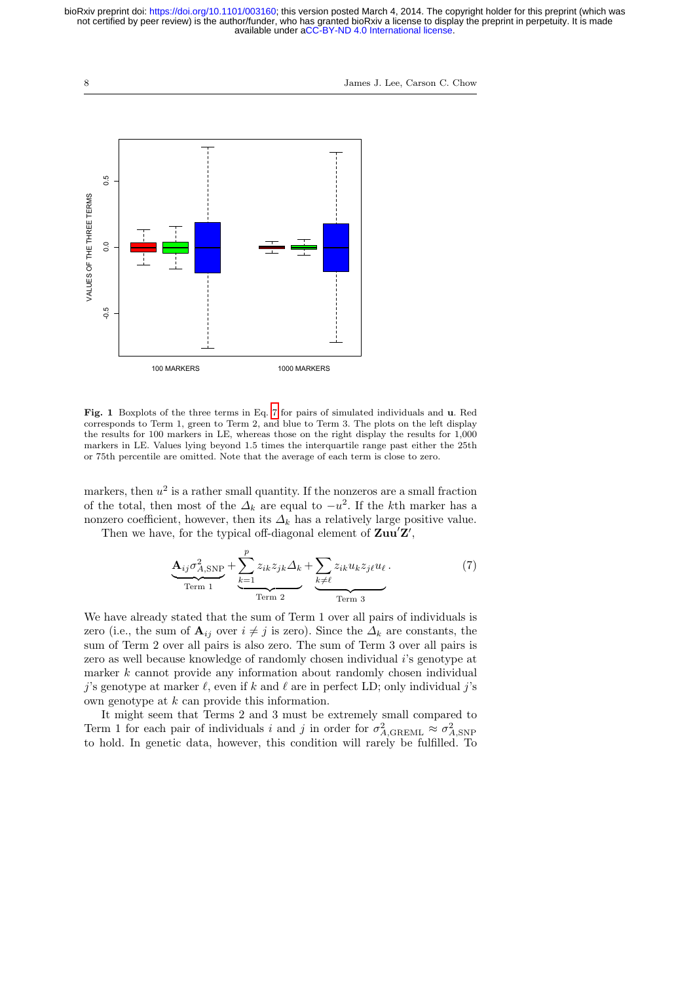8 James J. Lee, Carson C. Chow



<span id="page-7-1"></span>Fig. 1 Boxplots of the three terms in Eq. [7](#page-7-0) for pairs of simulated individuals and u. Red corresponds to Term 1, green to Term 2, and blue to Term 3. The plots on the left display the results for 100 markers in LE, whereas those on the right display the results for 1,000 markers in LE. Values lying beyond 1.5 times the interquartile range past either the 25th or 75th percentile are omitted. Note that the average of each term is close to zero.

markers, then  $u^2$  is a rather small quantity. If the nonzeros are a small fraction of the total, then most of the  $\Delta_k$  are equal to  $-u^2$ . If the kth marker has a nonzero coefficient, however, then its  $\Delta_k$  has a relatively large positive value. Then we have, for the typical off-diagonal element of  $\mathbf{Zuu}^{\prime}\mathbf{Z}^{\prime}$ ,

<span id="page-7-0"></span>
$$
\underbrace{\mathbf{A}_{ij}\sigma_{A,\text{SNP}}^{2}}_{\text{Term 1}} + \underbrace{\sum_{k=1}^{p} z_{ik}z_{jk}\Delta_k}_{\text{Term 2}} + \underbrace{\sum_{k\neq\ell} z_{ik}u_kz_{j\ell}u_{\ell}}_{\text{Term 3}}.
$$
 (7)

We have already stated that the sum of Term 1 over all pairs of individuals is zero (i.e., the sum of  $\mathbf{A}_{ij}$  over  $i \neq j$  is zero). Since the  $\Delta_k$  are constants, the sum of Term 2 over all pairs is also zero. The sum of Term 3 over all pairs is zero as well because knowledge of randomly chosen individual i's genotype at marker  $k$  cannot provide any information about randomly chosen individual j's genotype at marker  $\ell$ , even if k and  $\ell$  are in perfect LD; only individual j's own genotype at k can provide this information.

It might seem that Terms 2 and 3 must be extremely small compared to Term 1 for each pair of individuals i and j in order for  $\sigma_{A,\text{GREML}}^2 \approx \sigma_{A,\text{SNP}}^2$  to hold. In genetic data, however, this condition will rarely be fulfilled. To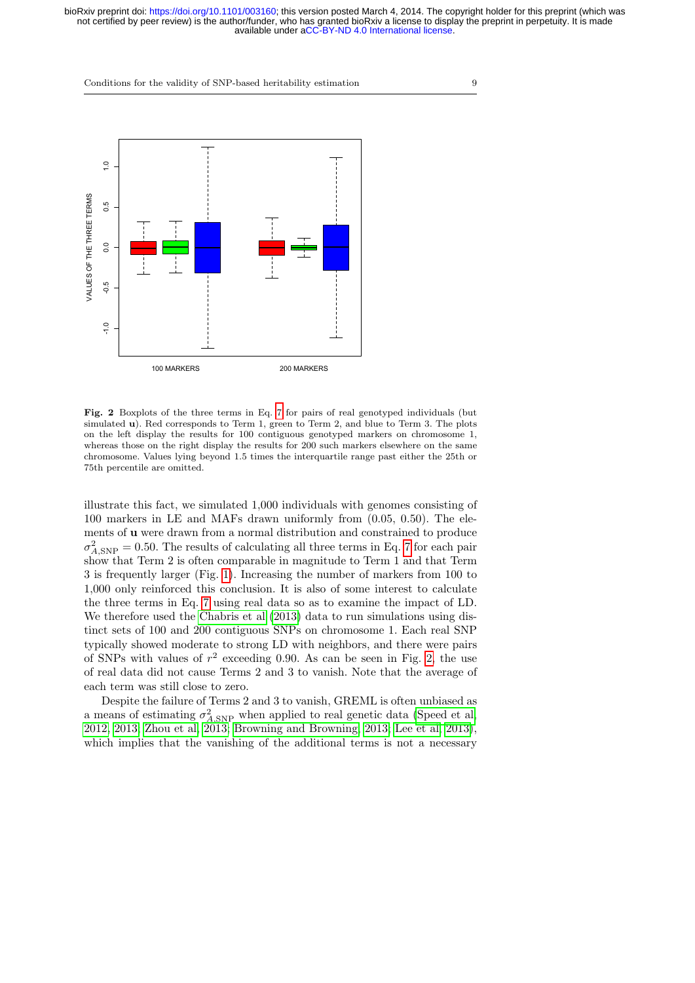

<span id="page-8-0"></span>Fig. 2 Boxplots of the three terms in Eq. [7](#page-7-0) for pairs of real genotyped individuals (but simulated u). Red corresponds to Term 1, green to Term 2, and blue to Term 3. The plots on the left display the results for 100 contiguous genotyped markers on chromosome 1, whereas those on the right display the results for 200 such markers elsewhere on the same chromosome. Values lying beyond 1.5 times the interquartile range past either the 25th or 75th percentile are omitted.

illustrate this fact, we simulated 1,000 individuals with genomes consisting of 100 markers in LE and MAFs drawn uniformly from (0.05, 0.50). The elements of u were drawn from a normal distribution and constrained to produce  $\sigma_{A,\text{SNP}}^2 = 0.50$ . The results of calculating all three terms in Eq. [7](#page-7-0) for each pair show that Term 2 is often comparable in magnitude to Term 1 and that Term 3 is frequently larger (Fig. [1\)](#page-7-1). Increasing the number of markers from 100 to 1,000 only reinforced this conclusion. It is also of some interest to calculate the three terms in Eq. [7](#page-7-0) using real data so as to examine the impact of LD. We therefore used the [Chabris et al](#page-20-8) [\(2013\)](#page-20-8) data to run simulations using distinct sets of 100 and 200 contiguous SNPs on chromosome 1. Each real SNP typically showed moderate to strong LD with neighbors, and there were pairs of SNPs with values of  $r^2$  exceeding 0.90. As can be seen in Fig. [2,](#page-8-0) the use of real data did not cause Terms 2 and 3 to vanish. Note that the average of each term was still close to zero.

Despite the failure of Terms 2 and 3 to vanish, GREML is often unbiased as a means of estimating  $\sigma_{A,\mathrm{SNP}}^2$  when applied to real genetic data [\(Speed et al,](#page-21-2) [2012,](#page-21-2) [2013;](#page-21-9) [Zhou et al, 2013;](#page-22-8) [Browning and Browning, 2013;](#page-20-14) [Lee et al, 2013\)](#page-21-10), which implies that the vanishing of the additional terms is not a necessary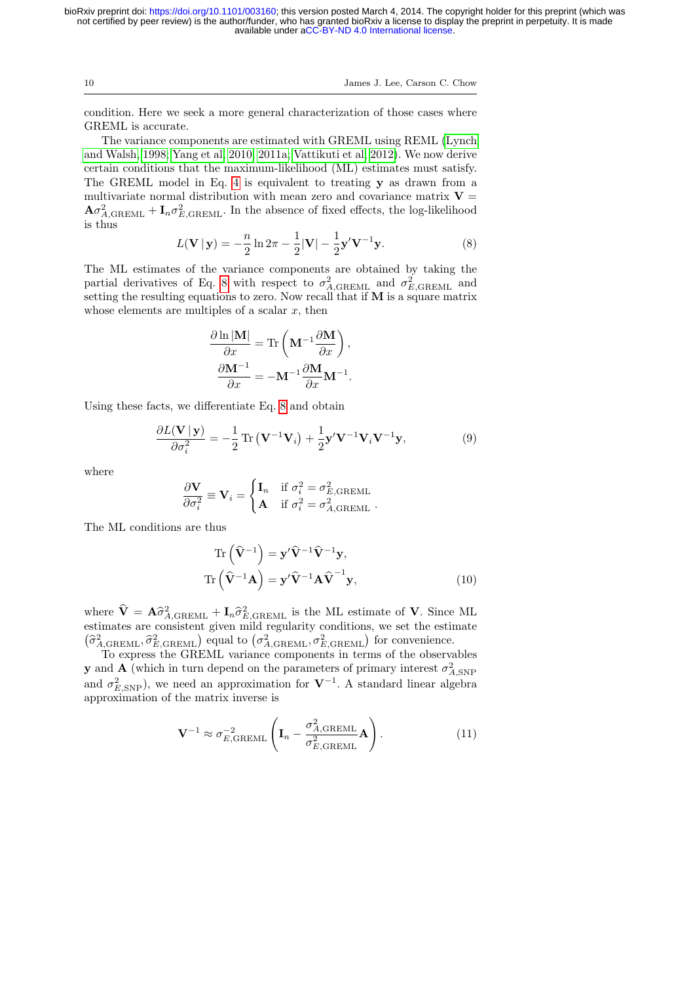10 James J. Lee, Carson C. Chow

condition. Here we seek a more general characterization of those cases where GREML is accurate.

The variance components are estimated with GREML using REML [\(Lynch](#page-21-5) [and Walsh, 1998;](#page-21-5) [Yang et al, 2010,](#page-22-4) [2011a;](#page-22-9) [Vattikuti et al, 2012\)](#page-22-10). We now derive certain conditions that the maximum-likelihood (ML) estimates must satisfy. The GREML model in Eq. [4](#page-4-2) is equivalent to treating y as drawn from a multivariate normal distribution with mean zero and covariance matrix  $V =$  $\mathbf{A}\sigma_{A,\text{GREML}}^2 + \mathbf{I}_n \sigma_{E,\text{GREML}}^2$ . In the absence of fixed effects, the log-likelihood is thus

<span id="page-9-0"></span>
$$
L(\mathbf{V} \mid \mathbf{y}) = -\frac{n}{2} \ln 2\pi - \frac{1}{2} |\mathbf{V}| - \frac{1}{2} \mathbf{y}' \mathbf{V}^{-1} \mathbf{y}.
$$
 (8)

The ML estimates of the variance components are obtained by taking the partial derivatives of Eq. [8](#page-9-0) with respect to  $\sigma_{A, \text{GREML}}^2$  and  $\sigma_{E, \text{GREML}}^2$  and setting the resulting equations to zero. Now recall that if M is a square matrix whose elements are multiples of a scalar  $x$ , then

$$
\frac{\partial \ln |\mathbf{M}|}{\partial x} = \text{Tr}\left(\mathbf{M}^{-1} \frac{\partial \mathbf{M}}{\partial x}\right),\,
$$

$$
\frac{\partial \mathbf{M}^{-1}}{\partial x} = -\mathbf{M}^{-1} \frac{\partial \mathbf{M}}{\partial x} \mathbf{M}^{-1}.
$$

Using these facts, we differentiate Eq. [8](#page-9-0) and obtain

$$
\frac{\partial L(\mathbf{V} \mid \mathbf{y})}{\partial \sigma_i^2} = -\frac{1}{2} \operatorname{Tr} (\mathbf{V}^{-1} \mathbf{V}_i) + \frac{1}{2} \mathbf{y}' \mathbf{V}^{-1} \mathbf{V}_i \mathbf{V}^{-1} \mathbf{y},\tag{9}
$$

where

$$
\frac{\partial \mathbf{V}}{\partial \sigma_i^2} \equiv \mathbf{V}_i = \begin{cases} \mathbf{I}_n & \text{if } \sigma_i^2 = \sigma_{E, \text{GREML}}^2 \\ \mathbf{A} & \text{if } \sigma_i^2 = \sigma_{A, \text{GREML}}^2 \end{cases}.
$$

The ML conditions are thus

<span id="page-9-2"></span>
$$
\operatorname{Tr}\left(\widehat{\mathbf{V}}^{-1}\right) = \mathbf{y}'\widehat{\mathbf{V}}^{-1}\widehat{\mathbf{V}}^{-1}\mathbf{y},
$$

$$
\operatorname{Tr}\left(\widehat{\mathbf{V}}^{-1}\mathbf{A}\right) = \mathbf{y}'\widehat{\mathbf{V}}^{-1}\mathbf{A}\widehat{\mathbf{V}}^{-1}\mathbf{y},
$$
(10)

where  $\hat{\mathbf{V}} = \mathbf{A}\hat{\sigma}_{A,\text{GREML}}^2 + \mathbf{I}_n\hat{\sigma}_{E,\text{GREML}}^2$  is the ML estimate of **V**. Since ML estimates are consistent given mild regularity conditions, we set the estimate estimates are consistent given mild regularity conditions, we set the estimate  $\left(\widehat{\sigma}_{A,\text{GREML}}^2, \widehat{\sigma}_{E,\text{GREML}}^2\right)$  equal to  $\left(\sigma_{A,\text{GREML}}^2, \sigma_{E,\text{GREML}}^2\right)$  for convenience.

To express the GREML variance components in terms of the observables **y** and **A** (which in turn depend on the parameters of primary interest  $\sigma_{A,\text{SNP}}^2$ and  $\sigma_{E, \text{SNP}}^2$ ), we need an approximation for  $V^{-1}$ . A standard linear algebra approximation of the matrix inverse is

<span id="page-9-1"></span>
$$
\mathbf{V}^{-1} \approx \sigma_{E, \text{GREML}}^{-2} \left( \mathbf{I}_n - \frac{\sigma_{A, \text{GREML}}^2}{\sigma_{E, \text{GREML}}^2} \mathbf{A} \right). \tag{11}
$$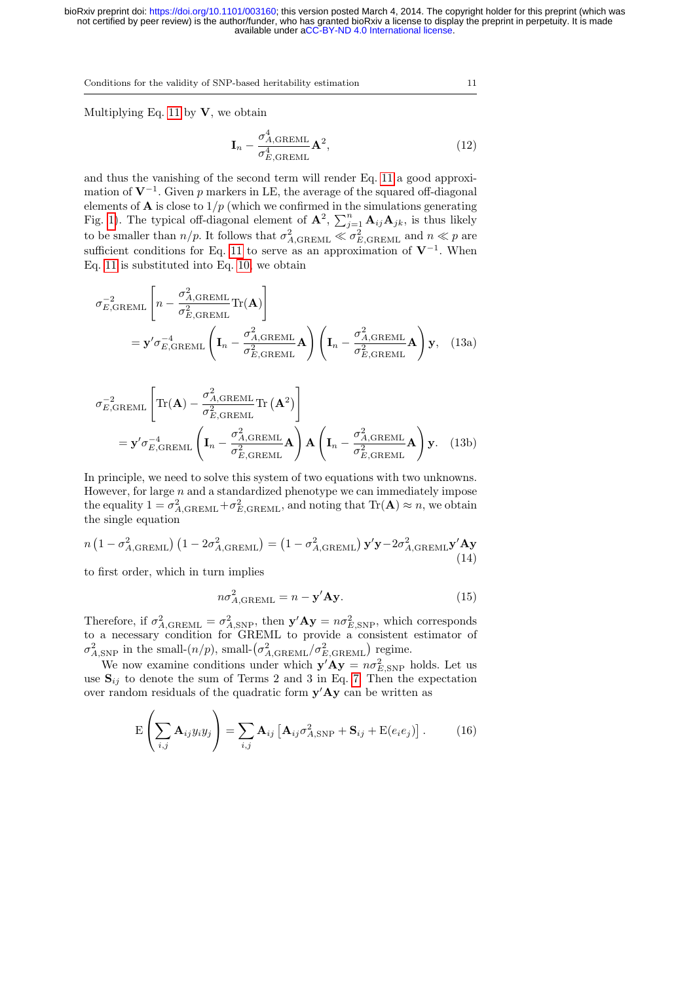Multiplying Eq. [11](#page-9-1) by  $V$ , we obtain

$$
\mathbf{I}_n - \frac{\sigma_{A, \text{GREML}}^4}{\sigma_{E, \text{GREML}}^4} \mathbf{A}^2,\tag{12}
$$

and thus the vanishing of the second term will render Eq. [11](#page-9-1) a good approximation of  $V^{-1}$ . Given p markers in LE, the average of the squared off-diagonal elements of **A** is close to  $1/p$  (which we confirmed in the simulations generating Fig. [1\)](#page-7-1). The typical off-diagonal element of  $\mathbf{A}^2$ ,  $\sum_{j=1}^n \mathbf{A}_{ij} \mathbf{A}_{jk}$ , is thus likely to be smaller than  $n/p$ . It follows that  $\sigma_{A, \text{GREML}}^2 \ll \sigma_{E, \text{GREML}}^2$  and  $n \ll p$  are sufficient conditions for Eq. [11](#page-9-1) to serve as an approximation of  $V^{-1}$ . When Eq. [11](#page-9-1) is substituted into Eq. [10,](#page-9-2) we obtain

$$
\sigma_{E, \text{GREML}}^{-2} \left[ n - \frac{\sigma_{A, \text{GREML}}^2}{\sigma_{E, \text{GREML}}^2} \text{Tr}(\mathbf{A}) \right]
$$
\n
$$
= \mathbf{y}' \sigma_{E, \text{GREML}}^{-4} \left( \mathbf{I}_n - \frac{\sigma_{A, \text{GREML}}^2}{\sigma_{E, \text{GREML}}^2} \mathbf{A} \right) \left( \mathbf{I}_n - \frac{\sigma_{A, \text{GREML}}^2}{\sigma_{E, \text{GREML}}^2} \mathbf{A} \right) \mathbf{y}, \quad (13a)
$$

$$
\sigma_{E, \text{GREML}}^{-2} \left[ \text{Tr}(\mathbf{A}) - \frac{\sigma_{A, \text{GREML}}^{2}}{\sigma_{E, \text{GREML}}^{2}} \text{Tr}(\mathbf{A}^{2}) \right]
$$
\n
$$
= \mathbf{y}' \sigma_{E, \text{GREML}}^{-4} \left( \mathbf{I}_{n} - \frac{\sigma_{A, \text{GREML}}^{2}}{\sigma_{E, \text{GREML}}^{2}} \mathbf{A} \right) \mathbf{A} \left( \mathbf{I}_{n} - \frac{\sigma_{A, \text{GREML}}^{2}}{\sigma_{E, \text{GREML}}^{2}} \mathbf{A} \right) \mathbf{y}.
$$
\n(13b)

In principle, we need to solve this system of two equations with two unknowns. However, for large  $n$  and a standardized phenotype we can immediately impose the equality  $1 = \sigma_{A, \text{GREML}}^2 + \sigma_{E, \text{GREML}}^2$ , and noting that  $\text{Tr}(\mathbf{A}) \approx n$ , we obtain the single equation

$$
n\left(1 - \sigma_{A, \text{GREML}}^2\right)\left(1 - 2\sigma_{A, \text{GREML}}^2\right) = \left(1 - \sigma_{A, \text{GREML}}^2\right)\mathbf{y}'\mathbf{y} - 2\sigma_{A, \text{GREML}}^2\mathbf{y}'\mathbf{A}\mathbf{y}
$$
\n(14)

to first order, which in turn implies

<span id="page-10-1"></span>
$$
n\sigma_{A,\text{GREML}}^2 = n - \mathbf{y}' \mathbf{A} \mathbf{y}.\tag{15}
$$

Therefore, if  $\sigma_{A,\text{GREML}}^2 = \sigma_{A,\text{SNP}}^2$ , then  $\mathbf{y}'\mathbf{A}\mathbf{y} = n\sigma_{E,\text{SNP}}^2$ , which corresponds to a necessary condition for GREML to provide a consistent estimator of  $\sigma_{A,\text{SNP}}^2$  in the small- $(n/p)$ , small- $(\sigma_{A,\text{GREML}}^2/\sigma_{E,\text{GREML}}^2)$  regime.

We now examine conditions under which  $\mathbf{y}'\mathbf{A}\mathbf{y} = n\sigma_{E,\text{SNP}}^2$  holds. Let us use  $S_{ij}$  to denote the sum of Terms 2 and 3 in Eq. [7.](#page-7-0) Then the expectation over random residuals of the quadratic form  $y'Ay$  can be written as

<span id="page-10-0"></span>
$$
E\left(\sum_{i,j} A_{ij} y_i y_j\right) = \sum_{i,j} A_{ij} \left[A_{ij} \sigma_{A,\text{SNP}}^2 + S_{ij} + E(e_i e_j)\right].
$$
 (16)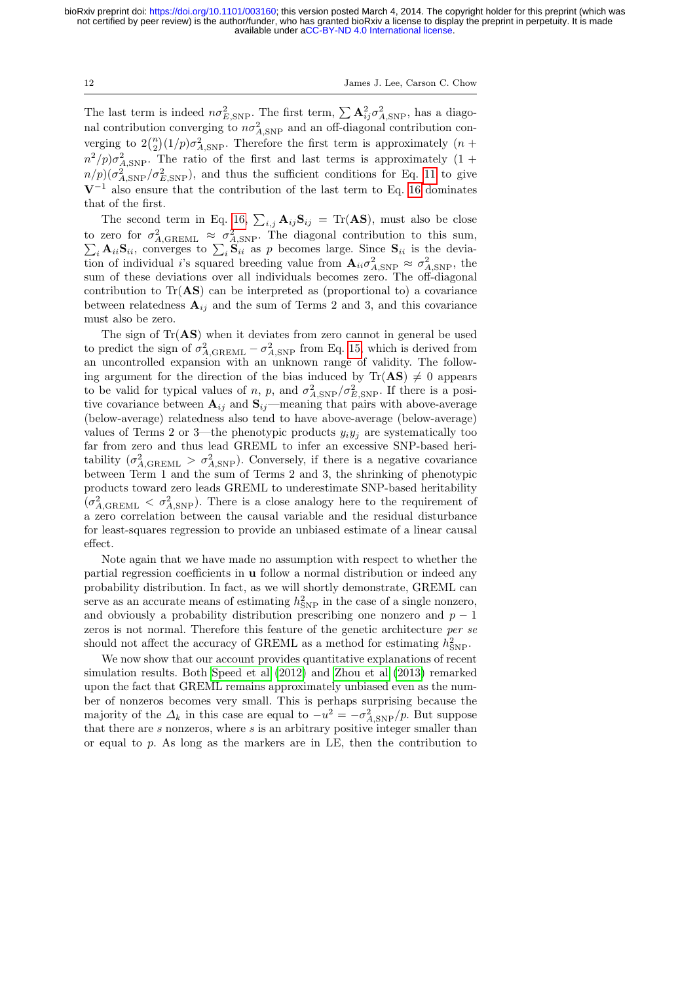12 James J. Lee, Carson C. Chow

The last term is indeed  $n\sigma_{E,SNP}^2$ . The first term,  $\sum \mathbf{A}_{ij}^2 \sigma_{A,SNP}^2$ , has a diagonal contribution converging to  $n\sigma_{A,\text{SNP}}^2$  and an off-diagonal contribution converging to  $2\binom{n}{2}(1/p)\sigma_{A,\text{SNP}}^2$ . Therefore the first term is approximately  $(n +$  $n^2/p\sigma_{A,\text{SNP}}^2$ . The ratio of the first and last terms is approximately  $(1 +$  $n/p$ )( $\sigma_{A,\text{SNP}}^2/\sigma_{E,\text{SNP}}^2$ ), and thus the sufficient conditions for Eq. [11](#page-9-1) to give  $V^{-1}$  also ensure that the contribution of the last term to Eq. [16](#page-10-0) dominates that of the first.

The second term in Eq. [16,](#page-10-0)  $\sum_{i,j} \mathbf{A}_{ij} \mathbf{S}_{ij} = \text{Tr}(\mathbf{A}\mathbf{S})$ , must also be close to zero for  $\sigma_{A, \text{GREML}}^2 \approx \sigma_{A, \text{SNP}}^2$ <br>  $\sum_i \mathbf{A}_{ii} \mathbf{S}_{ii}$ , converges to  $\sum_i \mathbf{S}_{ii}$  a . The diagonal contribution to this sum,  $i_i$   $\mathbf{A}_{ii}\mathbf{S}_{ii}$ , converges to  $\sum_i \mathbf{S}_{ii}$  as p becomes large. Since  $\mathbf{S}_{ii}$  is the deviation of individual *i*'s squared breeding value from  $\mathbf{A}_{ii} \sigma_{A, \text{SNP}}^2 \approx \sigma_{A, \text{SNP}}^2$ , the sum of these deviations over all individuals becomes zero. The off-diagonal contribution to  $Tr(AS)$  can be interpreted as (proportional to) a covariance between relatedness  $A_{ij}$  and the sum of Terms 2 and 3, and this covariance must also be zero.

The sign of  $Tr(AS)$  when it deviates from zero cannot in general be used to predict the sign of  $\sigma_{A,\text{GREML}}^2 - \sigma_{A,\text{SNP}}^2$  from Eq. [15,](#page-10-1) which is derived from an uncontrolled expansion with an unknown range of validity. The following argument for the direction of the bias induced by  $\text{Tr}(\mathbf{AS}) \neq 0$  appears to be valid for typical values of n, p, and  $\sigma_{A, \text{SNP}}^2 / \sigma_{E, \text{SNP}}^2$ . If there is a positive covariance between  $A_{ij}$  and  $S_{ij}$ —meaning that pairs with above-average (below-average) relatedness also tend to have above-average (below-average) values of Terms 2 or 3—the phenotypic products  $y_i y_j$  are systematically too far from zero and thus lead GREML to infer an excessive SNP-based heritability  $(\sigma_{A, \text{GREML}}^2 > \sigma_{A, \text{SNP}}^2)$ . Conversely, if there is a negative covariance between Term 1 and the sum of Terms 2 and 3, the shrinking of phenotypic products toward zero leads GREML to underestimate SNP-based heritability  $(\sigma_{A, \text{GREML}}^2 < \sigma_{A, \text{SNP}}^2)$ . There is a close analogy here to the requirement of a zero correlation between the causal variable and the residual disturbance for least-squares regression to provide an unbiased estimate of a linear causal effect.

Note again that we have made no assumption with respect to whether the partial regression coefficients in u follow a normal distribution or indeed any probability distribution. In fact, as we will shortly demonstrate, GREML can serve as an accurate means of estimating  $h_{\text{SNP}}^2$  in the case of a single nonzero, and obviously a probability distribution prescribing one nonzero and  $p - 1$ zeros is not normal. Therefore this feature of the genetic architecture per se should not affect the accuracy of GREML as a method for estimating  $h_{\mathrm{SNP}}^2$ .

We now show that our account provides quantitative explanations of recent simulation results. Both [Speed et al](#page-21-2) [\(2012\)](#page-21-2) and [Zhou et al](#page-22-8) [\(2013\)](#page-22-8) remarked upon the fact that GREML remains approximately unbiased even as the number of nonzeros becomes very small. This is perhaps surprising because the majority of the  $\Delta_k$  in this case are equal to  $-u^2 = -\sigma_{A, \text{SNP}}^2/p$ . But suppose that there are s nonzeros, where s is an arbitrary positive integer smaller than or equal to  $p$ . As long as the markers are in LE, then the contribution to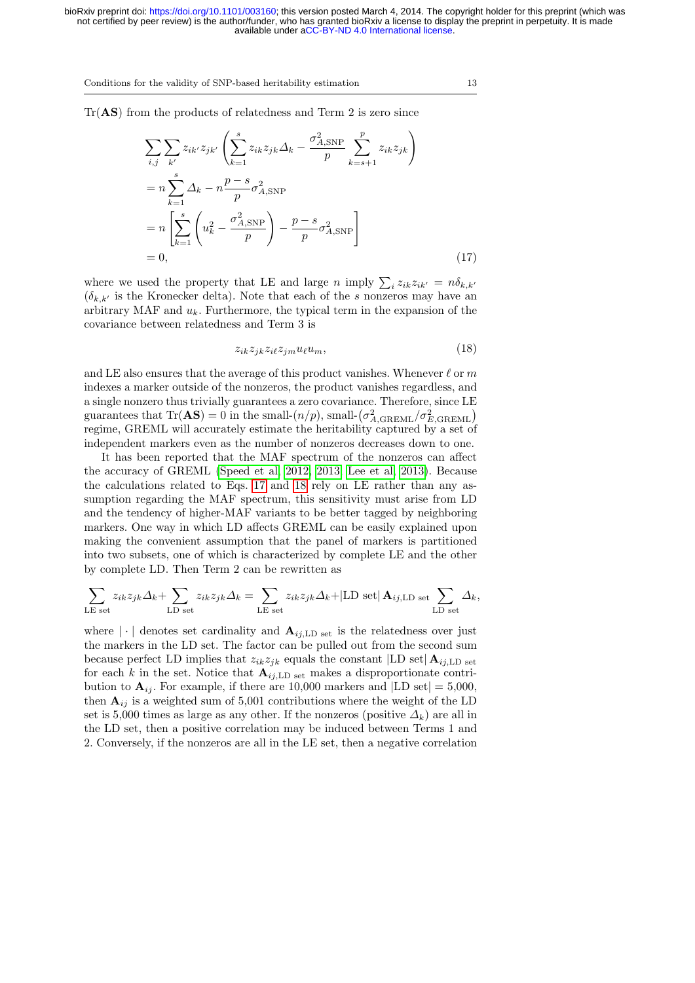$Tr(AS)$  from the products of relatedness and Term 2 is zero since

$$
\sum_{i,j} \sum_{k'} z_{ik'} z_{jk'} \left( \sum_{k=1}^s z_{ik} z_{jk} \Delta_k - \frac{\sigma_{A,\text{SNP}}^2}{p} \sum_{k=s+1}^p z_{ik} z_{jk} \right)
$$
  
= 
$$
n \sum_{k=1}^s \Delta_k - n \frac{p-s}{p} \sigma_{A,\text{SNP}}^2
$$
  
= 
$$
n \left[ \sum_{k=1}^s \left( u_k^2 - \frac{\sigma_{A,\text{SNP}}^2}{p} \right) - \frac{p-s}{p} \sigma_{A,\text{SNP}}^2 \right]
$$
  
= 0, (17)

where we used the property that LE and large n imply  $\sum_i z_{ik} z_{ik'} = n \delta_{k,k'}$  $(\delta_{k,k'}$  is the Kronecker delta). Note that each of the s nonzeros may have an arbitrary MAF and  $u_k$ . Furthermore, the typical term in the expansion of the covariance between relatedness and Term 3 is

<span id="page-12-1"></span><span id="page-12-0"></span>
$$
z_{ik}z_{jk}z_{il}z_{jm}u_{\ell}u_m, \qquad (18)
$$

and LE also ensures that the average of this product vanishes. Whenever  $\ell$  or m indexes a marker outside of the nonzeros, the product vanishes regardless, and a single nonzero thus trivially guarantees a zero covariance. Therefore, since LE guarantees that  $\text{Tr}(\mathbf{AS}) = 0$  in the small- $(n/p)$ , small- $(\sigma_{A,\text{GREML}}^2 / \sigma_{E,\text{GREML}}^2)$ regime, GREML will accurately estimate the heritability captured by a set of independent markers even as the number of nonzeros decreases down to one.

It has been reported that the MAF spectrum of the nonzeros can affect the accuracy of GREML [\(Speed et al, 2012,](#page-21-2) [2013;](#page-21-9) [Lee et al, 2013\)](#page-21-10). Because the calculations related to Eqs. [17](#page-12-0) and [18](#page-12-1) rely on LE rather than any assumption regarding the MAF spectrum, this sensitivity must arise from LD and the tendency of higher-MAF variants to be better tagged by neighboring markers. One way in which LD affects GREML can be easily explained upon making the convenient assumption that the panel of markers is partitioned into two subsets, one of which is characterized by complete LE and the other by complete LD. Then Term 2 can be rewritten as

$$
\sum_{\text{LE set}} z_{ik} z_{jk} \Delta_k + \sum_{\text{LD set}} z_{ik} z_{jk} \Delta_k = \sum_{\text{LE set}} z_{ik} z_{jk} \Delta_k + |\text{LD set}| \mathbf{A}_{ij,\text{LD set}} \sum_{\text{LD set}} \Delta_k,
$$

where  $|\cdot|$  denotes set cardinality and  $\mathbf{A}_{i,i,\text{LD set}}$  is the relatedness over just the markers in the LD set. The factor can be pulled out from the second sum because perfect LD implies that  $z_{ik}z_{jk}$  equals the constant  $|LD \operatorname{set}| A_{ij,LD \operatorname{set}}|$ for each k in the set. Notice that  $A_{ij,LD \text{ set}}$  makes a disproportionate contribution to  $\mathbf{A}_{ii}$ . For example, if there are 10,000 markers and [LD set] = 5,000, then  $A_{ij}$  is a weighted sum of 5,001 contributions where the weight of the LD set is 5,000 times as large as any other. If the nonzeros (positive  $\Delta_k$ ) are all in the LD set, then a positive correlation may be induced between Terms 1 and 2. Conversely, if the nonzeros are all in the LE set, then a negative correlation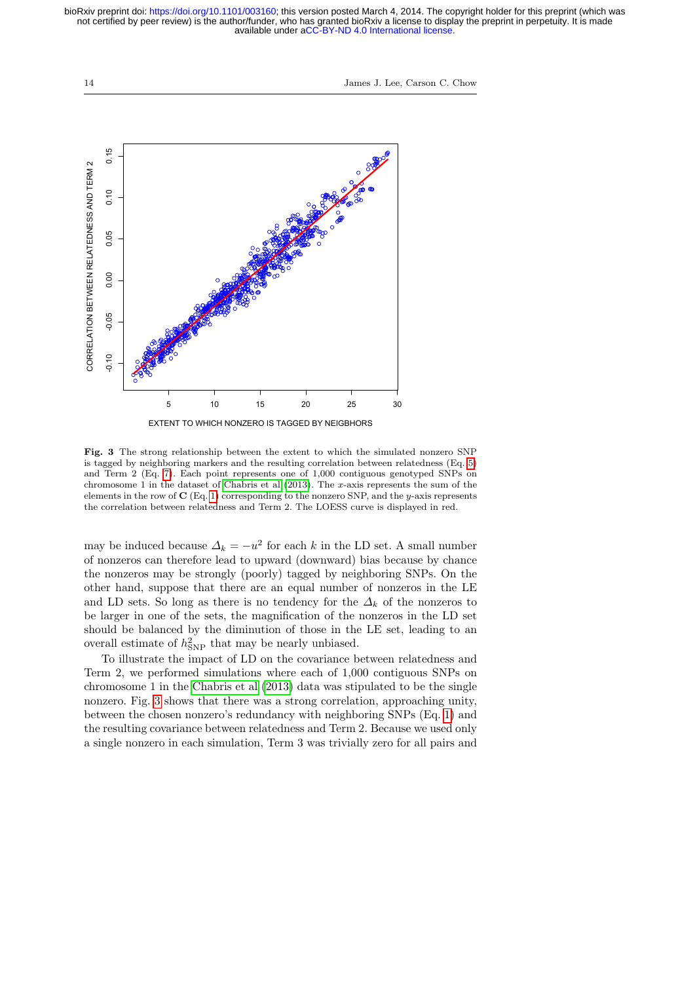14 James J. Lee, Carson C. Chow



<span id="page-13-0"></span>Fig. 3 The strong relationship between the extent to which the simulated nonzero SNP is tagged by neighboring markers and the resulting correlation between relatedness (Eq. [5\)](#page-4-0) and Term 2 (Eq. [7\)](#page-7-0). Each point represents one of 1,000 contiguous genotyped SNPs on chromosome 1 in the dataset of [Chabris et al](#page-20-8)  $(2013)$ . The x-axis represents the sum of the elements in the row of  $C$  (Eq. [1\)](#page-3-0) corresponding to the nonzero SNP, and the y-axis represents the correlation between relatedness and Term 2. The LOESS curve is displayed in red.

may be induced because  $\Delta_k = -u^2$  for each k in the LD set. A small number of nonzeros can therefore lead to upward (downward) bias because by chance the nonzeros may be strongly (poorly) tagged by neighboring SNPs. On the other hand, suppose that there are an equal number of nonzeros in the LE and LD sets. So long as there is no tendency for the  $\Delta_k$  of the nonzeros to be larger in one of the sets, the magnification of the nonzeros in the LD set should be balanced by the diminution of those in the LE set, leading to an overall estimate of  $h_{SNP}^2$  that may be nearly unbiased.

To illustrate the impact of LD on the covariance between relatedness and Term 2, we performed simulations where each of 1,000 contiguous SNPs on chromosome 1 in the [Chabris et al](#page-20-8) [\(2013\)](#page-20-8) data was stipulated to be the single nonzero. Fig. [3](#page-13-0) shows that there was a strong correlation, approaching unity, between the chosen nonzero's redundancy with neighboring SNPs (Eq. [1\)](#page-3-0) and the resulting covariance between relatedness and Term 2. Because we used only a single nonzero in each simulation, Term 3 was trivially zero for all pairs and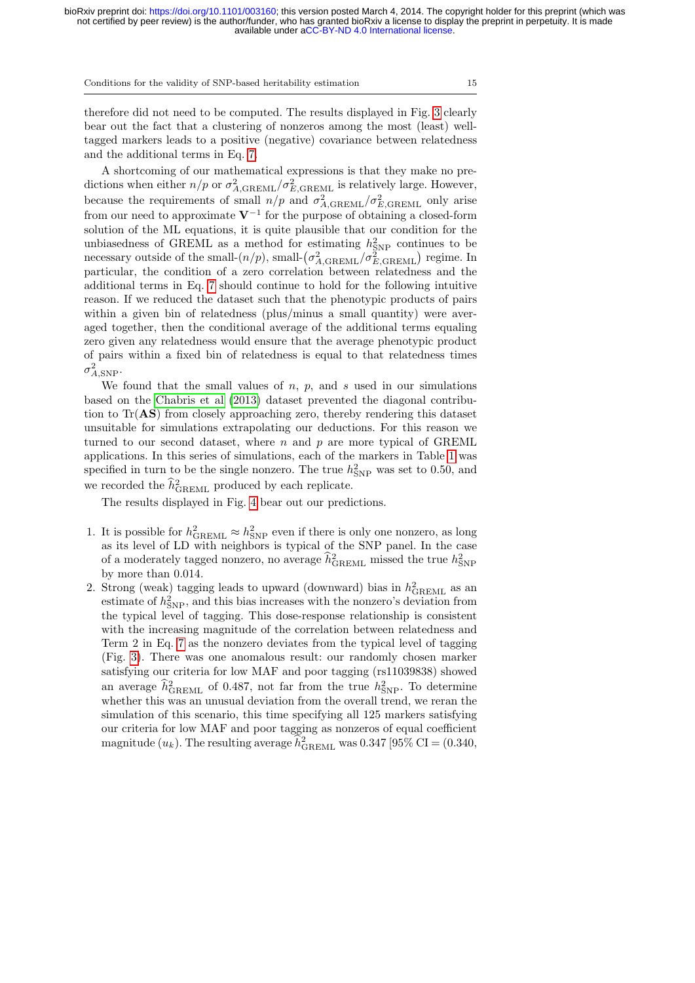therefore did not need to be computed. The results displayed in Fig. [3](#page-13-0) clearly bear out the fact that a clustering of nonzeros among the most (least) welltagged markers leads to a positive (negative) covariance between relatedness and the additional terms in Eq. [7.](#page-7-0)

A shortcoming of our mathematical expressions is that they make no predictions when either  $n/p$  or  $\sigma_{A, \text{GREML}}^2 / \sigma_{E, \text{GREML}}^2$  is relatively large. However, because the requirements of small  $n/p$  and  $\sigma_{A, \text{GREML}}^2/\sigma_{E, \text{GREML}}^2$  only arise from our need to approximate  $V^{-1}$  for the purpose of obtaining a closed-form solution of the ML equations, it is quite plausible that our condition for the unbiasedness of GREML as a method for estimating  $h_{\text{SNP}}^2$  continues to be necessary outside of the small- $(n/p)$ , small- $(\sigma_{A, \text{GREML}}^2 / \sigma_{E, \text{GREML}}^2)$  regime. In particular, the condition of a zero correlation between relatedness and the additional terms in Eq. [7](#page-7-0) should continue to hold for the following intuitive reason. If we reduced the dataset such that the phenotypic products of pairs within a given bin of relatedness (plus/minus a small quantity) were averaged together, then the conditional average of the additional terms equaling zero given any relatedness would ensure that the average phenotypic product of pairs within a fixed bin of relatedness is equal to that relatedness times  $\sigma_{A,\text{SNP}}^2$ .

We found that the small values of  $n$ ,  $p$ , and  $s$  used in our simulations based on the [Chabris et al](#page-20-8) [\(2013\)](#page-20-8) dataset prevented the diagonal contribution to Tr(AS) from closely approaching zero, thereby rendering this dataset unsuitable for simulations extrapolating our deductions. For this reason we turned to our second dataset, where  $n$  and  $p$  are more typical of GREML applications. In this series of simulations, each of the markers in Table [1](#page-2-0) was specified in turn to be the single nonzero. The true  $h_{\rm SNP}^2$  was set to 0.50, and we recorded the  $\hat{h}_{\text{GREML}}^2$  produced by each replicate.

The results displayed in Fig. [4](#page-15-0) bear out our predictions.

- 1. It is possible for  $h_{\text{GREML}}^2 \approx h_{\text{SNP}}^2$  even if there is only one nonzero, as long as its level of LD with neighbors is typical of the SNP panel. In the case of a moderately tagged nonzero, no average  $\hat{h}_{\text{GREML}}^2$  missed the true  $h_{\text{SNP}}^2$ by more than 0.014.
- 2. Strong (weak) tagging leads to upward (downward) bias in  $h_{\rm GREML}^2$  as an estimate of  $h_{\text{SNP}}^2$ , and this bias increases with the nonzero's deviation from the typical level of tagging. This dose-response relationship is consistent with the increasing magnitude of the correlation between relatedness and Term 2 in Eq. [7](#page-7-0) as the nonzero deviates from the typical level of tagging (Fig. [3\)](#page-13-0). There was one anomalous result: our randomly chosen marker satisfying our criteria for low MAF and poor tagging (rs11039838) showed an average  $\hat{h}_{\text{GREML}}^2$  of 0.487, not far from the true  $h_{\text{SNP}}^2$ . To determine whether this was an unusual deviation from the overall trend, we reran the simulation of this scenario, this time specifying all 125 markers satisfying our criteria for low MAF and poor tagging as nonzeros of equal coefficient magnitude  $(u_k)$ . The resulting average  $\widehat{h}_{\rm GREML}^2$  was 0.347 [95% CI = (0.340,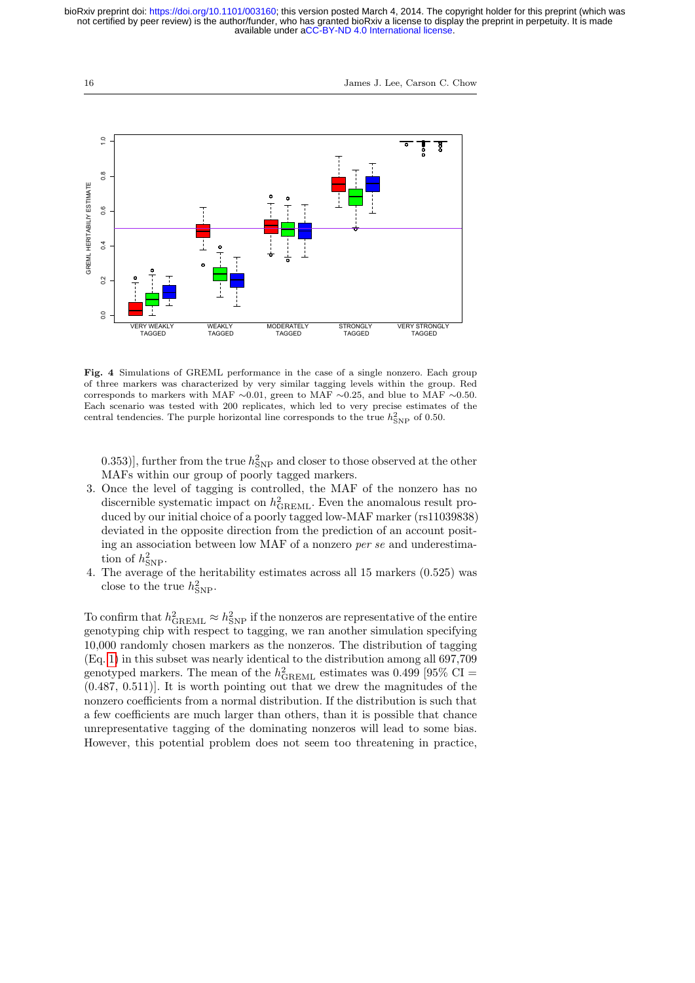

<span id="page-15-0"></span>Fig. 4 Simulations of GREML performance in the case of a single nonzero. Each group of three markers was characterized by very similar tagging levels within the group. Red corresponds to markers with MAF  $\sim$ 0.01, green to MAF  $\sim$ 0.25, and blue to MAF  $\sim$ 0.50. Each scenario was tested with 200 replicates, which led to very precise estimates of the central tendencies. The purple horizontal line corresponds to the true  $h_{\text{SNP}}^2$  of 0.50.

0.353)], further from the true  $h_{\mathrm{SNP}}^2$  and closer to those observed at the other MAFs within our group of poorly tagged markers.

- 3. Once the level of tagging is controlled, the MAF of the nonzero has no discernible systematic impact on  $h_{\text{GREML}}^2$ . Even the anomalous result produced by our initial choice of a poorly tagged low-MAF marker (rs11039838) deviated in the opposite direction from the prediction of an account positing an association between low MAF of a nonzero per se and underestimation of  $h^2_{\text{SNP}}$ .
- 4. The average of the heritability estimates across all 15 markers (0.525) was close to the true  $h^2_{\text{SNP}}$ .

To confirm that  $h_{\text{GREML}}^2 \approx h_{\text{SNP}}^2$  if the nonzeros are representative of the entire genotyping chip with respect to tagging, we ran another simulation specifying 10,000 randomly chosen markers as the nonzeros. The distribution of tagging (Eq. [1\)](#page-3-0) in this subset was nearly identical to the distribution among all 697,709 genotyped markers. The mean of the  $h_{\rm GREML}^2$  estimates was 0.499 [95% CI = (0.487, 0.511)]. It is worth pointing out that we drew the magnitudes of the nonzero coefficients from a normal distribution. If the distribution is such that a few coefficients are much larger than others, than it is possible that chance unrepresentative tagging of the dominating nonzeros will lead to some bias. However, this potential problem does not seem too threatening in practice,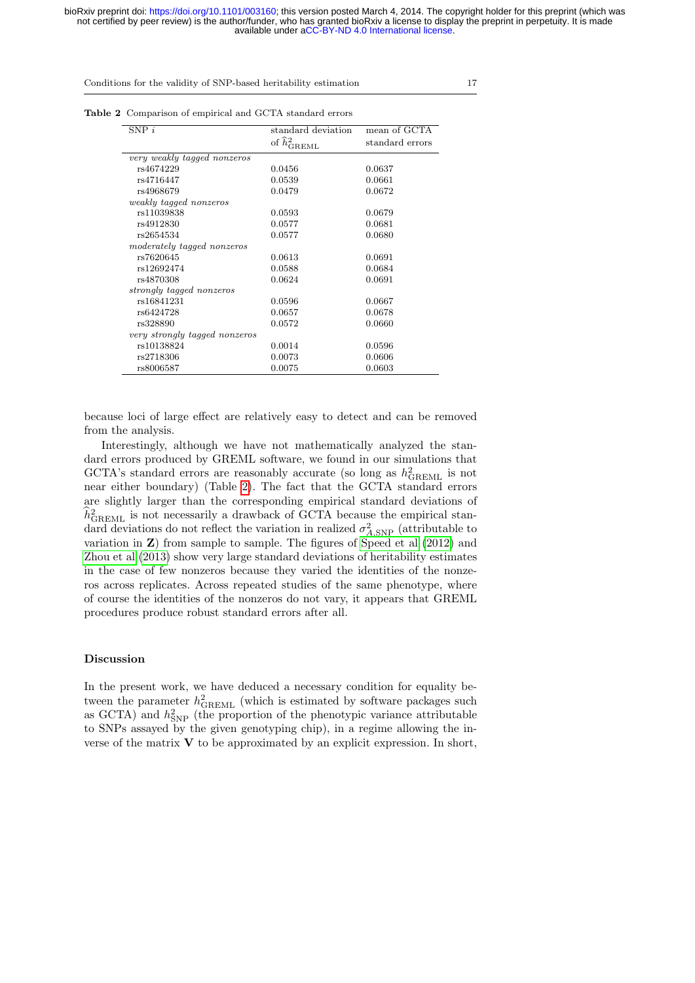| <b>Table 2</b> Comparison of empirical and GCTA standard errors |  |
|-----------------------------------------------------------------|--|
|-----------------------------------------------------------------|--|

<span id="page-16-0"></span>

| $SNP$ i                       | standard deviation        | mean of GCTA    |
|-------------------------------|---------------------------|-----------------|
|                               | of $\hat{h}_c^2$<br>IREML | standard errors |
| very weakly tagged nonzeros   |                           |                 |
| rs4674229                     | 0.0456                    | 0.0637          |
| rs4716447                     | 0.0539                    | 0.0661          |
| rs4968679                     | 0.0479                    | 0.0672          |
| weakly tagged nonzeros        |                           |                 |
| rs11039838                    | 0.0593                    | 0.0679          |
| rs4912830                     | 0.0577                    | 0.0681          |
| rs2654534                     | 0.0577                    | 0.0680          |
| moderately tagged nonzeros    |                           |                 |
| rs7620645                     | 0.0613                    | 0.0691          |
| rs12692474                    | 0.0588                    | 0.0684          |
| rs4870308                     | 0.0624                    | 0.0691          |
| strongly tagged nonzeros      |                           |                 |
| rs16841231                    | 0.0596                    | 0.0667          |
| rs6424728                     | 0.0657                    | 0.0678          |
| rs328890                      | 0.0572                    | 0.0660          |
| very strongly tagged nonzeros |                           |                 |
| rs10138824                    | 0.0014                    | 0.0596          |
| rs2718306                     | 0.0073                    | 0.0606          |
| rs8006587                     | 0.0075                    | 0.0603          |

because loci of large effect are relatively easy to detect and can be removed from the analysis.

Interestingly, although we have not mathematically analyzed the standard errors produced by GREML software, we found in our simulations that GCTA's standard errors are reasonably accurate (so long as  $h_{\rm GREML}^2$  is not near either boundary) (Table [2\)](#page-16-0). The fact that the GCTA standard errors are slightly larger than the corresponding empirical standard deviations of  $\hat{h}_{\text{GREML}}^2$  is not necessarily a drawback of GCTA because the empirical standard deviations do not reflect the variation in realized  $\sigma_{A,\rm SNP}^2$  (attributable to variation in Z) from sample to sample. The figures of [Speed et al](#page-21-2) [\(2012\)](#page-21-2) and [Zhou et al](#page-22-8) [\(2013\)](#page-22-8) show very large standard deviations of heritability estimates in the case of few nonzeros because they varied the identities of the nonzeros across replicates. Across repeated studies of the same phenotype, where of course the identities of the nonzeros do not vary, it appears that GREML procedures produce robust standard errors after all.

# Discussion

In the present work, we have deduced a necessary condition for equality between the parameter  $h_{\text{GREML}}^2$  (which is estimated by software packages such as GCTA) and  $h_{\text{SNP}}^2$  (the proportion of the phenotypic variance attributable to SNPs assayed by the given genotyping chip), in a regime allowing the inverse of the matrix  $V$  to be approximated by an explicit expression. In short,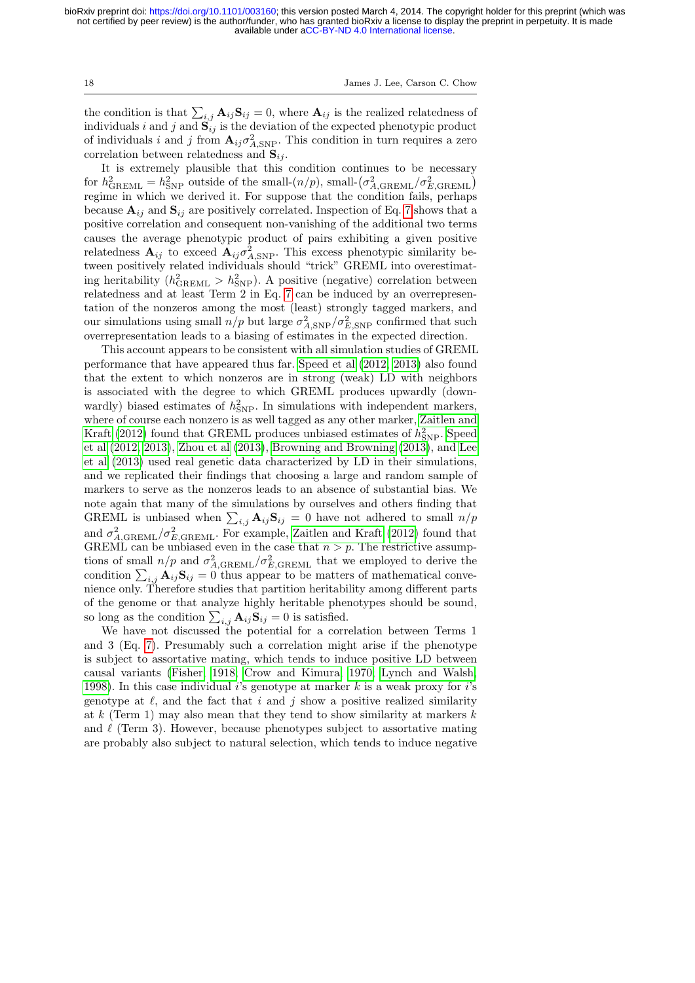the condition is that  $\sum_{i,j} A_{ij} \mathbf{S}_{ij} = 0$ , where  $\mathbf{A}_{ij}$  is the realized relatedness of individuals i and j and  $S_{ij}$  is the deviation of the expected phenotypic product of individuals i and j from  $\mathbf{A}_{ij}\sigma_{A,\text{SNP}}^2$ . This condition in turn requires a zero correlation between relatedness and  $S_{ij}$ .

It is extremely plausible that this condition continues to be necessary for  $h_{\text{GREML}}^2 = h_{\text{SNP}}^2$  outside of the small- $(n/p)$ , small- $(\sigma_{A,\text{GREML}}^2 / \sigma_{E,\text{GREML}}^2)$ regime in which we derived it. For suppose that the condition fails, perhaps because  $A_{ij}$  and  $S_{ij}$  are positively correlated. Inspection of Eq. [7](#page-7-0) shows that a positive correlation and consequent non-vanishing of the additional two terms causes the average phenotypic product of pairs exhibiting a given positive relatedness  $\mathbf{A}_{ij}$  to exceed  $\mathbf{A}_{ij} \sigma_{A, \text{SNP}}^2$ . This excess phenotypic similarity between positively related individuals should "trick" GREML into overestimating heritability ( $h_{\text{GREML}}^2 > h_{\text{SNP}}^2$ ). A positive (negative) correlation between relatedness and at least Term 2 in Eq. [7](#page-7-0) can be induced by an overrepresentation of the nonzeros among the most (least) strongly tagged markers, and our simulations using small  $n/p$  but large  $\sigma_{A, \text{SNP}}^2 / \sigma_{E, \text{SNP}}^2$  confirmed that such overrepresentation leads to a biasing of estimates in the expected direction.

This account appears to be consistent with all simulation studies of GREML performance that have appeared thus far. [Speed et al](#page-21-2) [\(2012,](#page-21-2) [2013\)](#page-21-9) also found that the extent to which nonzeros are in strong (weak) LD with neighbors is associated with the degree to which GREML produces upwardly (downwardly) biased estimates of  $h_{\text{SNP}}^2$ . In simulations with independent markers, where of course each nonzero is as well tagged as any other marker, [Zaitlen and](#page-22-11) [Kraft](#page-22-11) [\(2012\)](#page-22-11) found that GREML produces unbiased estimates of  $h_{\mathrm{SNP}}^2$ . [Speed](#page-21-2) [et al](#page-21-2) [\(2012,](#page-21-2) [2013\)](#page-21-9), [Zhou et al](#page-22-8) [\(2013\)](#page-22-8), [Browning and Browning](#page-20-14) [\(2013\)](#page-20-14), and [Lee](#page-21-10) [et al](#page-21-10) [\(2013\)](#page-21-10) used real genetic data characterized by LD in their simulations, and we replicated their findings that choosing a large and random sample of markers to serve as the nonzeros leads to an absence of substantial bias. We note again that many of the simulations by ourselves and others finding that GREML is unbiased when  $\sum_{i,j} A_{ij} S_{ij} = 0$  have not adhered to small  $n/p$ and  $\sigma_{A, \text{GREML}}^2 / \sigma_{E, \text{GREML}}^2$ . For example, [Zaitlen and Kraft](#page-22-11) [\(2012\)](#page-22-11) found that GREML can be unbiased even in the case that  $n > p$ . The restrictive assumptions of small  $n/p$  and  $\sigma_{A, \text{GREML}}^2 / \sigma_{E, \text{GREML}}^2$  that we employed to derive the condition  $\sum_{i,j} A_{ij} S_{ij} = 0$  thus appear to be matters of mathematical convenience only. Therefore studies that partition heritability among different parts of the genome or that analyze highly heritable phenotypes should be sound, so long as the condition  $\sum_{i,j} A_{ij} S_{ij} = 0$  is satisfied.

We have not discussed the potential for a correlation between Terms 1 and 3 (Eq. [7\)](#page-7-0). Presumably such a correlation might arise if the phenotype is subject to assortative mating, which tends to induce positive LD between causal variants [\(Fisher, 1918;](#page-20-0) [Crow and Kimura, 1970;](#page-20-12) [Lynch and Walsh,](#page-21-5) [1998\)](#page-21-5). In this case individual i's genotype at marker k is a weak proxy for i's genotype at  $\ell$ , and the fact that i and j show a positive realized similarity at k (Term 1) may also mean that they tend to show similarity at markers  $k$ and  $\ell$  (Term 3). However, because phenotypes subject to assortative mating are probably also subject to natural selection, which tends to induce negative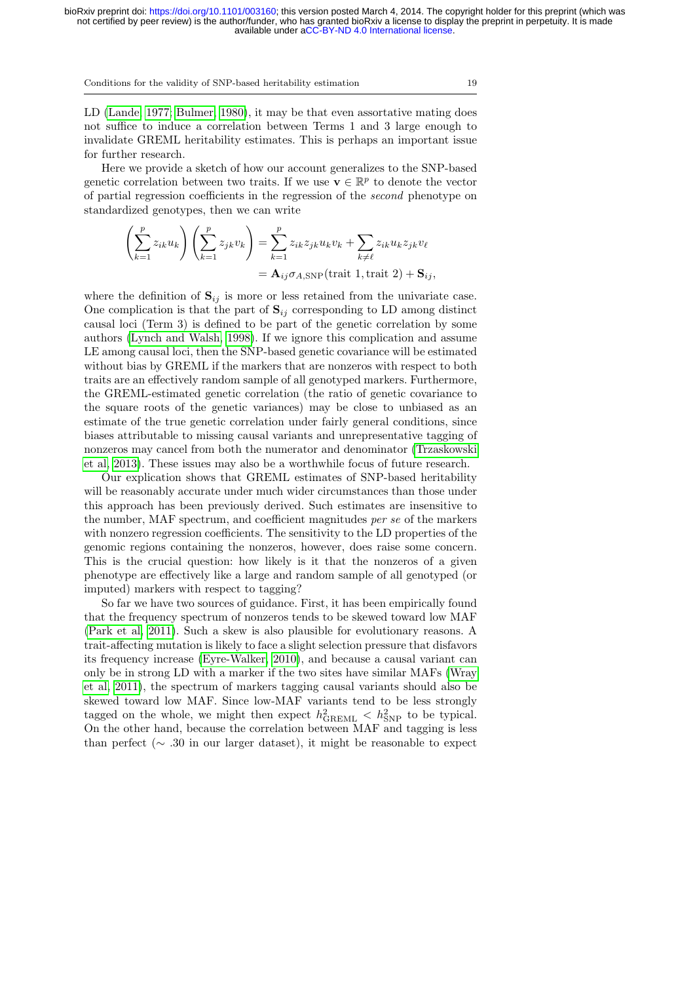LD [\(Lande, 1977;](#page-21-11) [Bulmer, 1980\)](#page-20-15), it may be that even assortative mating does not suffice to induce a correlation between Terms 1 and 3 large enough to invalidate GREML heritability estimates. This is perhaps an important issue for further research.

Here we provide a sketch of how our account generalizes to the SNP-based genetic correlation between two traits. If we use  $\mathbf{v} \in \mathbb{R}^p$  to denote the vector of partial regression coefficients in the regression of the second phenotype on standardized genotypes, then we can write

$$
\left(\sum_{k=1}^{p} z_{ik} u_k\right) \left(\sum_{k=1}^{p} z_{jk} v_k\right) = \sum_{k=1}^{p} z_{ik} z_{jk} u_k v_k + \sum_{k \neq \ell} z_{ik} u_k z_{jk} v_\ell
$$

$$
= \mathbf{A}_{ij} \sigma_{A, \text{SNP}} \text{(trait 1, trait 2)} + \mathbf{S}_{ij},
$$

where the definition of  $S_{ij}$  is more or less retained from the univariate case. One complication is that the part of  $S_{ij}$  corresponding to LD among distinct causal loci (Term 3) is defined to be part of the genetic correlation by some authors [\(Lynch and Walsh, 1998\)](#page-21-5). If we ignore this complication and assume LE among causal loci, then the SNP-based genetic covariance will be estimated without bias by GREML if the markers that are nonzeros with respect to both traits are an effectively random sample of all genotyped markers. Furthermore, the GREML-estimated genetic correlation (the ratio of genetic covariance to the square roots of the genetic variances) may be close to unbiased as an estimate of the true genetic correlation under fairly general conditions, since biases attributable to missing causal variants and unrepresentative tagging of nonzeros may cancel from both the numerator and denominator [\(Trzaskowski](#page-21-12) [et al, 2013\)](#page-21-12). These issues may also be a worthwhile focus of future research.

Our explication shows that GREML estimates of SNP-based heritability will be reasonably accurate under much wider circumstances than those under this approach has been previously derived. Such estimates are insensitive to the number, MAF spectrum, and coefficient magnitudes per se of the markers with nonzero regression coefficients. The sensitivity to the LD properties of the genomic regions containing the nonzeros, however, does raise some concern. This is the crucial question: how likely is it that the nonzeros of a given phenotype are effectively like a large and random sample of all genotyped (or imputed) markers with respect to tagging?

So far we have two sources of guidance. First, it has been empirically found that the frequency spectrum of nonzeros tends to be skewed toward low MAF [\(Park et al, 2011\)](#page-21-7). Such a skew is also plausible for evolutionary reasons. A trait-affecting mutation is likely to face a slight selection pressure that disfavors its frequency increase [\(Eyre-Walker, 2010\)](#page-20-3), and because a causal variant can only be in strong LD with a marker if the two sites have similar MAFs [\(Wray](#page-22-2) [et al, 2011\)](#page-22-2), the spectrum of markers tagging causal variants should also be skewed toward low MAF. Since low-MAF variants tend to be less strongly tagged on the whole, we might then expect  $h_{\text{GREML}}^2 < h_{\text{SNP}}^2$  to be typical. On the other hand, because the correlation between MAF and tagging is less than perfect (∼ .30 in our larger dataset), it might be reasonable to expect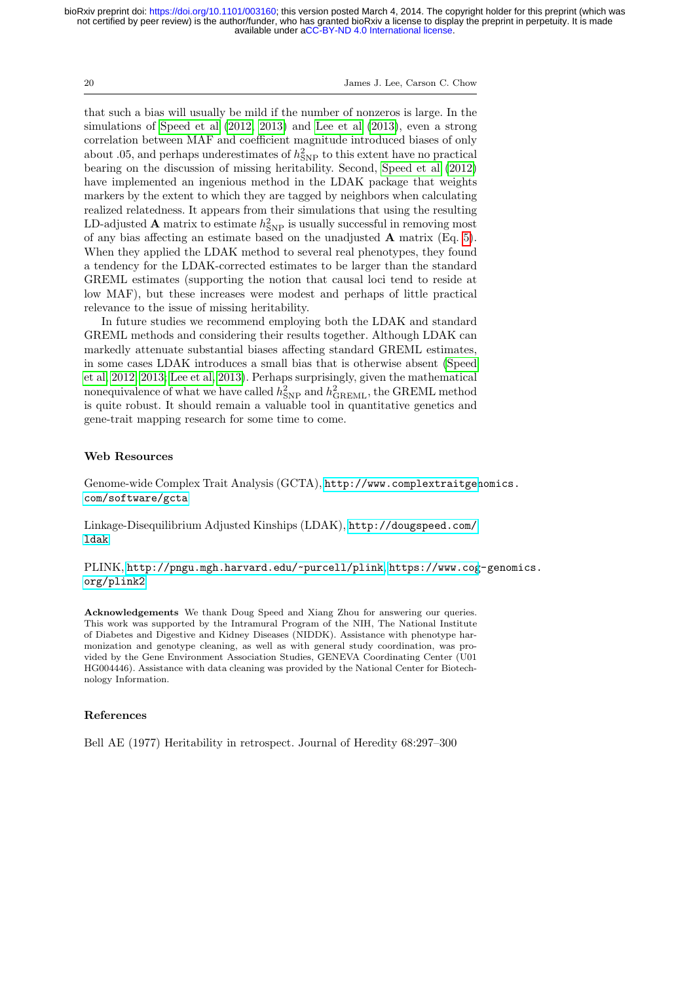20 James J. Lee, Carson C. Chow

that such a bias will usually be mild if the number of nonzeros is large. In the simulations of [Speed et al](#page-21-2) [\(2012,](#page-21-2) [2013\)](#page-21-9) and [Lee et al](#page-21-10) [\(2013\)](#page-21-10), even a strong correlation between MAF and coefficient magnitude introduced biases of only about .05, and perhaps underestimates of  $h<sub>SNP</sub><sup>2</sup>$  to this extent have no practical bearing on the discussion of missing heritability. Second, [Speed et al](#page-21-2) [\(2012\)](#page-21-2) have implemented an ingenious method in the LDAK package that weights markers by the extent to which they are tagged by neighbors when calculating realized relatedness. It appears from their simulations that using the resulting LD-adjusted **A** matrix to estimate  $h_{\text{SNP}}^2$  is usually successful in removing most of any bias affecting an estimate based on the unadjusted  $A$  matrix (Eq. [5\)](#page-4-0). When they applied the LDAK method to several real phenotypes, they found a tendency for the LDAK-corrected estimates to be larger than the standard GREML estimates (supporting the notion that causal loci tend to reside at low MAF), but these increases were modest and perhaps of little practical relevance to the issue of missing heritability.

In future studies we recommend employing both the LDAK and standard GREML methods and considering their results together. Although LDAK can markedly attenuate substantial biases affecting standard GREML estimates, in some cases LDAK introduces a small bias that is otherwise absent [\(Speed](#page-21-2) [et al, 2012,](#page-21-2) [2013;](#page-21-9) [Lee et al, 2013\)](#page-21-10). Perhaps surprisingly, given the mathematical nonequivalence of what we have called  $h_{\rm SNP}^2$  and  $h_{\rm GREML}^2$ , the GREML method is quite robust. It should remain a valuable tool in quantitative genetics and gene-trait mapping research for some time to come.

## Web Resources

Genome-wide Complex Trait Analysis (GCTA), [http://www.complextraitgen](http://www.complextraitgenomics.com/software/gcta)omics. [com/software/gcta](http://www.complextraitgenomics.com/software/gcta)

Linkage-Disequilibrium Adjusted Kinships (LDAK), [http://dougspeed.com/](http://dougspeed.com/ldak) [ldak](http://dougspeed.com/ldak)

PLINK, <http://pngu.mgh.harvard.edu/~purcell/plink>, [https://www.cog](https://www.cog-genomics.org/plink2)-genomics. [org/plink2](https://www.cog-genomics.org/plink2)

Acknowledgements We thank Doug Speed and Xiang Zhou for answering our queries. This work was supported by the Intramural Program of the NIH, The National Institute of Diabetes and Digestive and Kidney Diseases (NIDDK). Assistance with phenotype harmonization and genotype cleaning, as well as with general study coordination, was provided by the Gene Environment Association Studies, GENEVA Coordinating Center (U01 HG004446). Assistance with data cleaning was provided by the National Center for Biotechnology Information.

#### References

<span id="page-19-0"></span>Bell AE (1977) Heritability in retrospect. Journal of Heredity 68:297–300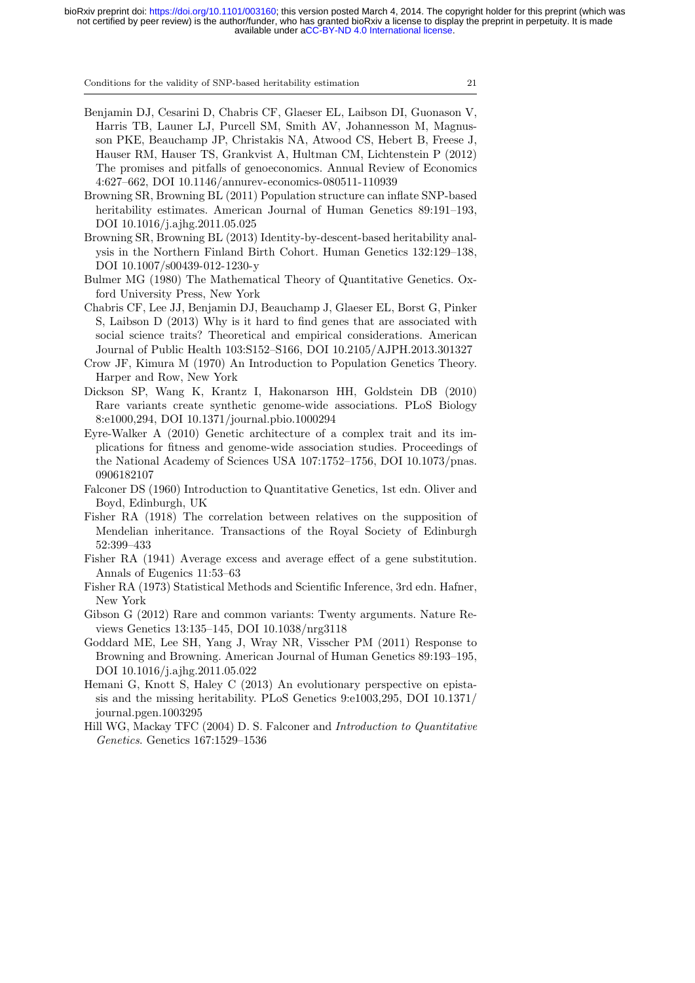Conditions for the validity of SNP-based heritability estimation 21

- <span id="page-20-7"></span>Benjamin DJ, Cesarini D, Chabris CF, Glaeser EL, Laibson DI, Guonason V, Harris TB, Launer LJ, Purcell SM, Smith AV, Johannesson M, Magnusson PKE, Beauchamp JP, Christakis NA, Atwood CS, Hebert B, Freese J, Hauser RM, Hauser TS, Grankvist A, Hultman CM, Lichtenstein P (2012) The promises and pitfalls of genoeconomics. Annual Review of Economics 4:627–662, DOI 10.1146/annurev-economics-080511-110939
- <span id="page-20-10"></span>Browning SR, Browning BL (2011) Population structure can inflate SNP-based heritability estimates. American Journal of Human Genetics 89:191–193, DOI 10.1016/j.ajhg.2011.05.025
- <span id="page-20-14"></span>Browning SR, Browning BL (2013) Identity-by-descent-based heritability analysis in the Northern Finland Birth Cohort. Human Genetics 132:129–138, DOI 10.1007/s00439-012-1230-y
- <span id="page-20-15"></span>Bulmer MG (1980) The Mathematical Theory of Quantitative Genetics. Oxford University Press, New York
- <span id="page-20-8"></span>Chabris CF, Lee JJ, Benjamin DJ, Beauchamp J, Glaeser EL, Borst G, Pinker S, Laibson D (2013) Why is it hard to find genes that are associated with social science traits? Theoretical and empirical considerations. American Journal of Public Health 103:S152–S166, DOI 10.2105/AJPH.2013.301327
- <span id="page-20-12"></span>Crow JF, Kimura M (1970) An Introduction to Population Genetics Theory. Harper and Row, New York
- <span id="page-20-4"></span>Dickson SP, Wang K, Krantz I, Hakonarson HH, Goldstein DB (2010) Rare variants create synthetic genome-wide associations. PLoS Biology 8:e1000,294, DOI 10.1371/journal.pbio.1000294
- <span id="page-20-3"></span>Eyre-Walker A (2010) Genetic architecture of a complex trait and its implications for fitness and genome-wide association studies. Proceedings of the National Academy of Sciences USA 107:1752–1756, DOI 10.1073/pnas. 0906182107
- <span id="page-20-1"></span>Falconer DS (1960) Introduction to Quantitative Genetics, 1st edn. Oliver and Boyd, Edinburgh, UK
- <span id="page-20-0"></span>Fisher RA (1918) The correlation between relatives on the supposition of Mendelian inheritance. Transactions of the Royal Society of Edinburgh 52:399–433
- <span id="page-20-9"></span>Fisher RA (1941) Average excess and average effect of a gene substitution. Annals of Eugenics 11:53–63
- <span id="page-20-13"></span>Fisher RA (1973) Statistical Methods and Scientific Inference, 3rd edn. Hafner, New York
- <span id="page-20-5"></span>Gibson G (2012) Rare and common variants: Twenty arguments. Nature Reviews Genetics 13:135–145, DOI 10.1038/nrg3118
- <span id="page-20-11"></span>Goddard ME, Lee SH, Yang J, Wray NR, Visscher PM (2011) Response to Browning and Browning. American Journal of Human Genetics 89:193–195, DOI 10.1016/j.ajhg.2011.05.022
- <span id="page-20-6"></span>Hemani G, Knott S, Haley C (2013) An evolutionary perspective on epistasis and the missing heritability. PLoS Genetics 9:e1003,295, DOI 10.1371/ journal.pgen.1003295
- <span id="page-20-2"></span>Hill WG, Mackay TFC (2004) D. S. Falconer and Introduction to Quantitative Genetics. Genetics 167:1529–1536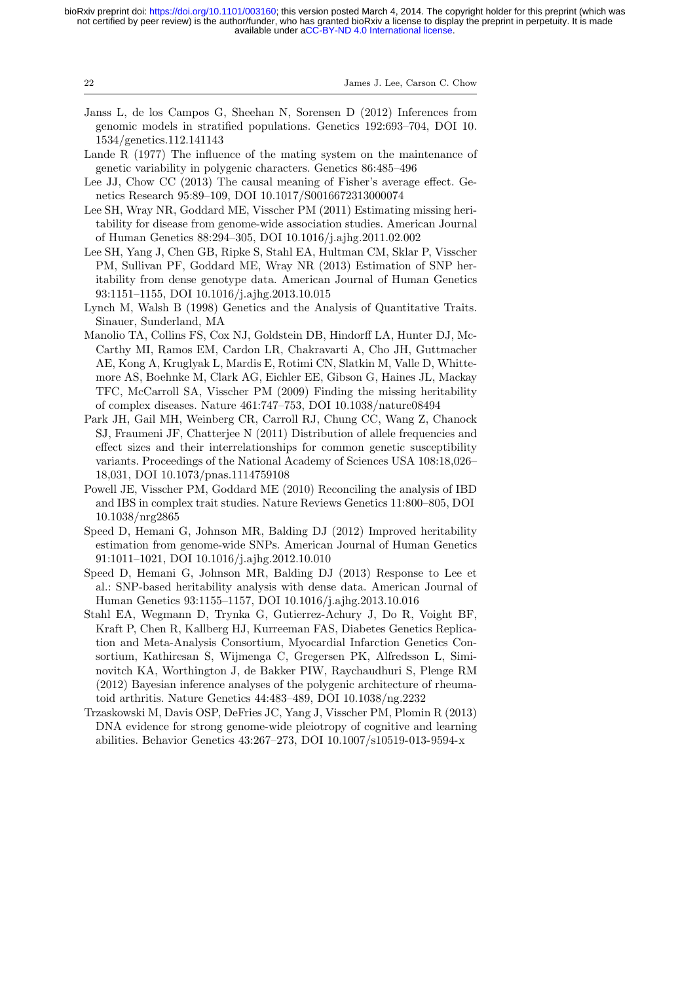| 22 | James J. Lee, Carson C. Chow |  |  |  |  |  |  |
|----|------------------------------|--|--|--|--|--|--|
|----|------------------------------|--|--|--|--|--|--|

- <span id="page-21-4"></span>Janss L, de los Campos G, Sheehan N, Sorensen D (2012) Inferences from genomic models in stratified populations. Genetics 192:693–704, DOI 10. 1534/genetics.112.141143
- <span id="page-21-11"></span>Lande R (1977) The influence of the mating system on the maintenance of genetic variability in polygenic characters. Genetics 86:485–496
- <span id="page-21-3"></span>Lee JJ, Chow CC (2013) The causal meaning of Fisher's average effect. Genetics Research 95:89–109, DOI 10.1017/S0016672313000074
- <span id="page-21-1"></span>Lee SH, Wray NR, Goddard ME, Visscher PM (2011) Estimating missing heritability for disease from genome-wide association studies. American Journal of Human Genetics 88:294–305, DOI 10.1016/j.ajhg.2011.02.002
- <span id="page-21-10"></span>Lee SH, Yang J, Chen GB, Ripke S, Stahl EA, Hultman CM, Sklar P, Visscher PM, Sullivan PF, Goddard ME, Wray NR (2013) Estimation of SNP heritability from dense genotype data. American Journal of Human Genetics 93:1151–1155, DOI 10.1016/j.ajhg.2013.10.015
- <span id="page-21-5"></span>Lynch M, Walsh B (1998) Genetics and the Analysis of Quantitative Traits. Sinauer, Sunderland, MA
- <span id="page-21-0"></span>Manolio TA, Collins FS, Cox NJ, Goldstein DB, Hindorff LA, Hunter DJ, Mc-Carthy MI, Ramos EM, Cardon LR, Chakravarti A, Cho JH, Guttmacher AE, Kong A, Kruglyak L, Mardis E, Rotimi CN, Slatkin M, Valle D, Whittemore AS, Boehnke M, Clark AG, Eichler EE, Gibson G, Haines JL, Mackay TFC, McCarroll SA, Visscher PM (2009) Finding the missing heritability of complex diseases. Nature 461:747–753, DOI 10.1038/nature08494
- <span id="page-21-7"></span>Park JH, Gail MH, Weinberg CR, Carroll RJ, Chung CC, Wang Z, Chanock SJ, Fraumeni JF, Chatterjee N (2011) Distribution of allele frequencies and effect sizes and their interrelationships for common genetic susceptibility variants. Proceedings of the National Academy of Sciences USA 108:18,026– 18,031, DOI 10.1073/pnas.1114759108
- <span id="page-21-6"></span>Powell JE, Visscher PM, Goddard ME (2010) Reconciling the analysis of IBD and IBS in complex trait studies. Nature Reviews Genetics 11:800–805, DOI 10.1038/nrg2865
- <span id="page-21-2"></span>Speed D, Hemani G, Johnson MR, Balding DJ (2012) Improved heritability estimation from genome-wide SNPs. American Journal of Human Genetics 91:1011–1021, DOI 10.1016/j.ajhg.2012.10.010
- <span id="page-21-9"></span>Speed D, Hemani G, Johnson MR, Balding DJ (2013) Response to Lee et al.: SNP-based heritability analysis with dense data. American Journal of Human Genetics 93:1155–1157, DOI 10.1016/j.ajhg.2013.10.016
- <span id="page-21-8"></span>Stahl EA, Wegmann D, Trynka G, Gutierrez-Achury J, Do R, Voight BF, Kraft P, Chen R, Kallberg HJ, Kurreeman FAS, Diabetes Genetics Replication and Meta-Analysis Consortium, Myocardial Infarction Genetics Consortium, Kathiresan S, Wijmenga C, Gregersen PK, Alfredsson L, Siminovitch KA, Worthington J, de Bakker PIW, Raychaudhuri S, Plenge RM (2012) Bayesian inference analyses of the polygenic architecture of rheumatoid arthritis. Nature Genetics 44:483–489, DOI 10.1038/ng.2232
- <span id="page-21-12"></span>Trzaskowski M, Davis OSP, DeFries JC, Yang J, Visscher PM, Plomin R (2013) DNA evidence for strong genome-wide pleiotropy of cognitive and learning abilities. Behavior Genetics 43:267–273, DOI 10.1007/s10519-013-9594-x